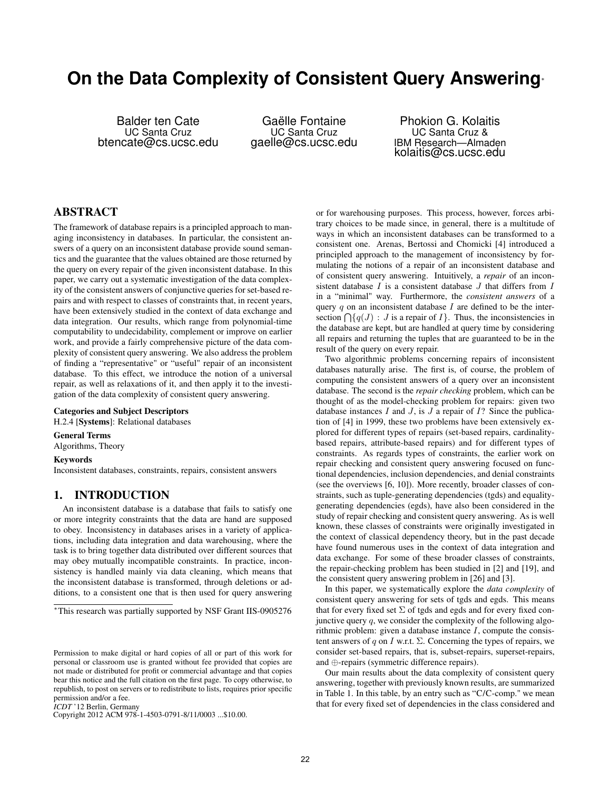# **On the Data Complexity of Consistent Query Answering**<sup>∗</sup>

Balder ten Cate UC Santa Cruz btencate@cs.ucsc.edu

Gaëlle Fontaine UC Santa Cruz gaelle@cs.ucsc.edu

Phokion G. Kolaitis UC Santa Cruz & IBM Research—Almaden kolaitis@cs.ucsc.edu

## ABSTRACT

The framework of database repairs is a principled approach to managing inconsistency in databases. In particular, the consistent answers of a query on an inconsistent database provide sound semantics and the guarantee that the values obtained are those returned by the query on every repair of the given inconsistent database. In this paper, we carry out a systematic investigation of the data complexity of the consistent answers of conjunctive queries for set-based repairs and with respect to classes of constraints that, in recent years, have been extensively studied in the context of data exchange and data integration. Our results, which range from polynomial-time computability to undecidability, complement or improve on earlier work, and provide a fairly comprehensive picture of the data complexity of consistent query answering. We also address the problem of finding a "representative" or "useful" repair of an inconsistent database. To this effect, we introduce the notion of a universal repair, as well as relaxations of it, and then apply it to the investigation of the data complexity of consistent query answering.

## Categories and Subject Descriptors

H.2.4 [Systems]: Relational databases

General Terms Algorithms, Theory

Keywords

Inconsistent databases, constraints, repairs, consistent answers

# 1. INTRODUCTION

An inconsistent database is a database that fails to satisfy one or more integrity constraints that the data are hand are supposed to obey. Inconsistency in databases arises in a variety of applications, including data integration and data warehousing, where the task is to bring together data distributed over different sources that may obey mutually incompatible constraints. In practice, inconsistency is handled mainly via data cleaning, which means that the inconsistent database is transformed, through deletions or additions, to a consistent one that is then used for query answering

*ICDT* '12 Berlin, Germany

Copyright 2012 ACM 978-1-4503-0791-8/11/0003 ...\$10.00.

or for warehousing purposes. This process, however, forces arbitrary choices to be made since, in general, there is a multitude of ways in which an inconsistent databases can be transformed to a consistent one. Arenas, Bertossi and Chomicki [4] introduced a principled approach to the management of inconsistency by formulating the notions of a repair of an inconsistent database and of consistent query answering. Intuitively, a *repair* of an inconsistent database  $I$  is a consistent database  $J$  that differs from  $I$ in a "minimal" way. Furthermore, the *consistent answers* of a query  $q$  on an inconsistent database  $I$  are defined to be the intersection  $\bigcap \{q(J) : J$  is a repair of  $I\}$ . Thus, the inconsistencies in the database are kept, but are handled at query time by considering all repairs and returning the tuples that are guaranteed to be in the result of the query on every repair.

Two algorithmic problems concerning repairs of inconsistent databases naturally arise. The first is, of course, the problem of computing the consistent answers of a query over an inconsistent database. The second is the *repair checking* problem, which can be thought of as the model-checking problem for repairs: given two database instances  $I$  and  $J$ , is  $J$  a repair of  $I$ ? Since the publication of [4] in 1999, these two problems have been extensively explored for different types of repairs (set-based repairs, cardinalitybased repairs, attribute-based repairs) and for different types of constraints. As regards types of constraints, the earlier work on repair checking and consistent query answering focused on functional dependencies, inclusion dependencies, and denial constraints (see the overviews [6, 10]). More recently, broader classes of constraints, such as tuple-generating dependencies (tgds) and equalitygenerating dependencies (egds), have also been considered in the study of repair checking and consistent query answering. As is well known, these classes of constraints were originally investigated in the context of classical dependency theory, but in the past decade have found numerous uses in the context of data integration and data exchange. For some of these broader classes of constraints, the repair-checking problem has been studied in [2] and [19], and the consistent query answering problem in [26] and [3].

In this paper, we systematically explore the *data complexity* of consistent query answering for sets of tgds and egds. This means that for every fixed set  $\Sigma$  of tgds and egds and for every fixed conjunctive query  $q$ , we consider the complexity of the following algorithmic problem: given a database instance  $I$ , compute the consistent answers of q on I w.r.t.  $\Sigma$ . Concerning the types of repairs, we consider set-based repairs, that is, subset-repairs, superset-repairs, and ⊕-repairs (symmetric difference repairs).

Our main results about the data complexity of consistent query answering, together with previously known results, are summarized in Table 1. In this table, by an entry such as "C/C-comp." we mean that for every fixed set of dependencies in the class considered and

<sup>∗</sup>This research was partially supported by NSF Grant IIS-0905276

Permission to make digital or hard copies of all or part of this work for personal or classroom use is granted without fee provided that copies are not made or distributed for profit or commercial advantage and that copies bear this notice and the full citation on the first page. To copy otherwise, to republish, to post on servers or to redistribute to lists, requires prior specific permission and/or a fee.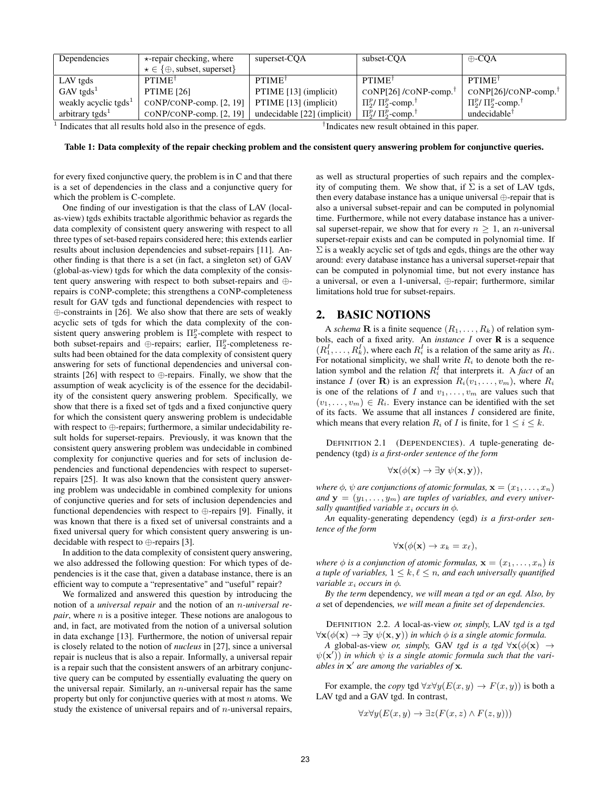| Dependencies                             | $\star$ -repair checking, where                         | superset-CQA                | subset-CQA                            | $\oplus$ -CQA                         |
|------------------------------------------|---------------------------------------------------------|-----------------------------|---------------------------------------|---------------------------------------|
|                                          | $\star \in \{\oplus, \text{subset}, \text{superset}\}\$ |                             |                                       |                                       |
| LAV tgds                                 | $PTIME^{\dagger}$                                       | $PTIME^{\dagger}$           | $PTIME^{\dagger}$                     | $PTIME^{\dagger}$                     |
| $GAV$ tgds <sup>1</sup>                  | <b>PTIME</b> [26]                                       | PTIME [13] (implicit)       | CONP[26] /CONP-comp.                  | coNP[26]/coNP-comp.                   |
| weakly acyclic tgds <sup>1</sup>         | CONP/CONP-comp. [2, 19]                                 | PTIME [13] (implicit)       | $\Pi_2^p/\Pi_2^p$ -comp. <sup>†</sup> | $\Pi_2^p/\Pi_2^p$ -comp. <sup>†</sup> |
| arbitrary tgds <sup><math>1</math></sup> | CONP/CONP-comp. [2, 19]                                 | undecidable [22] (implicit) | $\Pi_2^p/\Pi_2^p$ -comp. <sup>†</sup> | undecidable $^{\dagger}$              |

 $<sup>1</sup>$  Indicates that all results hold also in the presence of egds.  $<sup>†</sup>$ </sup></sup>

<sup>†</sup>Indicates new result obtained in this paper.

Table 1: Data complexity of the repair checking problem and the consistent query answering problem for conjunctive queries.

for every fixed conjunctive query, the problem is in C and that there is a set of dependencies in the class and a conjunctive query for which the problem is C-complete.

One finding of our investigation is that the class of LAV (localas-view) tgds exhibits tractable algorithmic behavior as regards the data complexity of consistent query answering with respect to all three types of set-based repairs considered here; this extends earlier results about inclusion dependencies and subset-repairs [11]. Another finding is that there is a set (in fact, a singleton set) of GAV (global-as-view) tgds for which the data complexity of the consistent query answering with respect to both subset-repairs and ⊕ repairs is CONP-complete; this strengthens a CONP-completeness result for GAV tgds and functional dependencies with respect to ⊕-constraints in [26]. We also show that there are sets of weakly acyclic sets of tgds for which the data complexity of the consistent query answering problem is  $\Pi_2^p$ -complete with respect to both subset-repairs and  $\oplus$ -repairs; earlier,  $\Pi_2^p$ -completeness results had been obtained for the data complexity of consistent query answering for sets of functional dependencies and universal constraints [26] with respect to ⊕-repairs. Finally, we show that the assumption of weak acyclicity is of the essence for the decidability of the consistent query answering problem. Specifically, we show that there is a fixed set of tgds and a fixed conjunctive query for which the consistent query answering problem is undecidable with respect to ⊕-repairs; furthermore, a similar undecidability result holds for superset-repairs. Previously, it was known that the consistent query answering problem was undecidable in combined complexity for conjunctive queries and for sets of inclusion dependencies and functional dependencies with respect to supersetrepairs [25]. It was also known that the consistent query answering problem was undecidable in combined complexity for unions of conjunctive queries and for sets of inclusion dependencies and functional dependencies with respect to ⊕-repairs [9]. Finally, it was known that there is a fixed set of universal constraints and a fixed universal query for which consistent query answering is undecidable with respect to ⊕-repairs [3].

In addition to the data complexity of consistent query answering, we also addressed the following question: For which types of dependencies is it the case that, given a database instance, there is an efficient way to compute a "representative" and "useful" repair?

We formalized and answered this question by introducing the notion of a *universal repair* and the notion of an n*-universal repair*, where *n* is a positive integer. These notions are analogous to and, in fact, are motivated from the notion of a universal solution in data exchange [13]. Furthermore, the notion of universal repair is closely related to the notion of *nucleus* in [27], since a universal repair is nucleus that is also a repair. Informally, a universal repair is a repair such that the consistent answers of an arbitrary conjunctive query can be computed by essentially evaluating the query on the universal repair. Similarly, an  $n$ -universal repair has the same property but only for conjunctive queries with at most  $n$  atoms. We study the existence of universal repairs and of  $n$ -universal repairs,

as well as structural properties of such repairs and the complexity of computing them. We show that, if  $\Sigma$  is a set of LAV tgds, then every database instance has a unique universal ⊕-repair that is also a universal subset-repair and can be computed in polynomial time. Furthermore, while not every database instance has a universal superset-repair, we show that for every  $n \geq 1$ , an *n*-universal superset-repair exists and can be computed in polynomial time. If  $\Sigma$  is a weakly acyclic set of tgds and egds, things are the other way around: every database instance has a universal superset-repair that can be computed in polynomial time, but not every instance has a universal, or even a 1-universal, ⊕-repair; furthermore, similar limitations hold true for subset-repairs.

## 2. BASIC NOTIONS

A *schema* **R** is a finite sequence  $(R_1, \ldots, R_k)$  of relation symbols, each of a fixed arity. An *instance* I over R is a sequence  $(R_1^I, \ldots, R_k^I)$ , where each  $R_i^I$  is a relation of the same arity as  $R_i$ . For notational simplicity, we shall write  $R_i$  to denote both the relation symbol and the relation  $R_i^I$  that interprets it. A *fact* of an instance I (over **R**) is an expression  $R_i(v_1, \ldots, v_m)$ , where  $R_i$ is one of the relations of I and  $v_1, \ldots, v_m$  are values such that  $(v_1, \ldots, v_m) \in R_i$ . Every instance can be identified with the set of its facts. We assume that all instances  $I$  considered are finite, which means that every relation  $R_i$  of I is finite, for  $1 \le i \le k$ .

DEFINITION 2.1 (DEPENDENCIES). *A* tuple-generating dependency (tgd) *is a first-order sentence of the form*

$$
\forall \mathbf{x}(\phi(\mathbf{x}) \to \exists \mathbf{y} \ \psi(\mathbf{x}, \mathbf{y})),
$$

*where*  $\phi$ *,*  $\psi$  *are conjunctions of atomic formulas,*  $\mathbf{x} = (x_1, \dots, x_n)$ and  $\mathbf{y} = (y_1, \dots, y_m)$  are tuples of variables, and every univer*sally quantified variable*  $x_i$  *occurs in*  $\phi$ *.* 

*An* equality-generating dependency (egd) *is a first-order sentence of the form*

$$
\forall \mathbf{x}(\phi(\mathbf{x}) \to x_k = x_\ell),
$$

*where*  $\phi$  *is a conjunction of atomic formulas,*  $\mathbf{x} = (x_1, \dots, x_n)$  *is a tuple of variables,*  $1 \leq k, \ell \leq n$ *, and each universally quantified variable*  $x_i$  *occurs in*  $\phi$ *.* 

*By the term* dependency*, we will mean a tgd or an egd. Also, by a* set of dependencies*, we will mean a finite set of dependencies.*

DEFINITION 2.2. *A* local-as-view *or, simply,* LAV *tgd is a tgd*  $\forall$ **x**( $\phi$ (**x**)  $\rightarrow \exists$ **y**  $\psi$ (**x**, **y**)) *in which*  $\phi$  *is a single atomic formula.* 

*A* global-as-view *or, simply,* GAV *tgd is a tgd*  $\forall$ **x**( $\phi$ (**x**)  $\rightarrow$  $\psi(\mathbf{x}')$  *in which*  $\psi$  *is a single atomic formula such that the variables in*  $x'$  *are among the variables of*  $x$ *.* 

For example, the *copy* tgd  $\forall x \forall y (E(x, y) \rightarrow F(x, y))$  is both a LAV tgd and a GAV tgd. In contrast,

$$
\forall x \forall y (E(x, y) \rightarrow \exists z (F(x, z) \land F(z, y)))
$$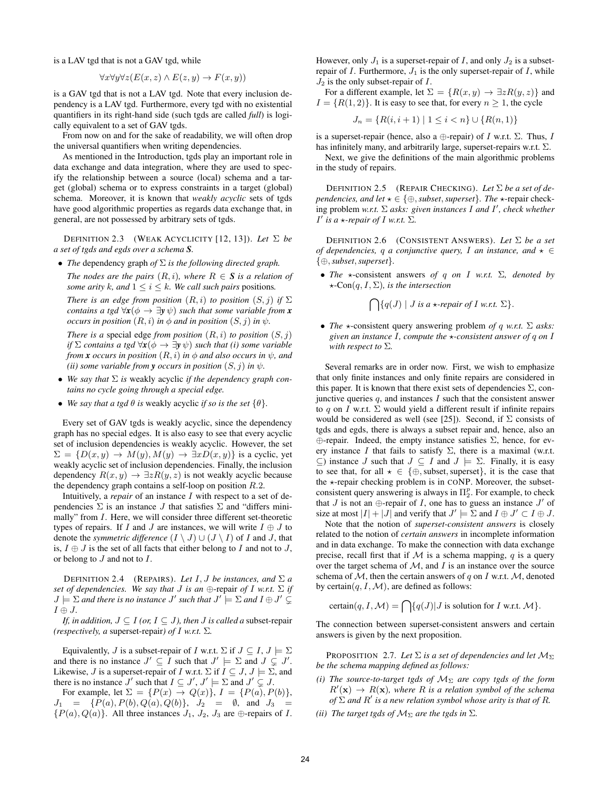is a LAV tgd that is not a GAV tgd, while

$$
\forall x \forall y \forall z (E(x, z) \land E(z, y) \rightarrow F(x, y))
$$

is a GAV tgd that is not a LAV tgd. Note that every inclusion dependency is a LAV tgd. Furthermore, every tgd with no existential quantifiers in its right-hand side (such tgds are called *full*) is logically equivalent to a set of GAV tgds.

From now on and for the sake of readability, we will often drop the universal quantifiers when writing dependencies.

As mentioned in the Introduction, tgds play an important role in data exchange and data integration, where they are used to specify the relationship between a source (local) schema and a target (global) schema or to express constraints in a target (global) schema. Moreover, it is known that *weakly acyclic* sets of tgds have good algorithmic properties as regards data exchange that, in general, are not possessed by arbitrary sets of tgds.

DEFINITION 2.3 (WEAK ACYCLICITY [12, 13]). *Let* Σ *be a set of tgds and egds over a schema S.*

• *The* dependency graph *of* Σ *is the following directed graph.*

*The nodes are the pairs*  $(R, i)$ *, where*  $R \in S$  *is a relation of some arity* k, and  $1 \le i \le k$ *. We call such pairs positions.* 

*There is an edge from position*  $(R, i)$  *to position*  $(S, j)$  *if*  $\Sigma$ *contains a tgd*  $\forall$ *x*( $\phi \rightarrow \exists$ *y* $\psi$ ) *such that some variable from x occurs in position*  $(R, i)$  *in*  $\phi$  *and in position*  $(S, j)$  *in*  $\psi$ *.* 

*There is a* special edge *from position*  $(R, i)$  *to position*  $(S, j)$ *if*  $\Sigma$  *contains a tgd*  $\forall$ *x*( $\phi \rightarrow \exists$ *y* $\psi$ ) *such that (i) some variable from x occurs in position*  $(R, i)$  *in*  $\phi$  *and also occurs in*  $\psi$ *, and (ii) some variable from y occurs in position*  $(S, j)$  *in*  $\psi$ *.* 

- *We say that* Σ *is* weakly acyclic *if the dependency graph contains no cycle going through a special edge.*
- *We say that a tgd*  $\theta$  *is weakly acyclic if so is the set*  $\{\theta\}$ *.*

Every set of GAV tgds is weakly acyclic, since the dependency graph has no special edges. It is also easy to see that every acyclic set of inclusion dependencies is weakly acyclic. However, the set  $\Sigma = \{D(x, y) \rightarrow M(y), M(y) \rightarrow \exists x D(x, y)\}\$ is a cyclic, yet weakly acyclic set of inclusion dependencies. Finally, the inclusion dependency  $R(x, y) \rightarrow \exists z R(y, z)$  is not weakly acyclic because the dependency graph contains a self-loop on position  $R.2$ .

Intuitively, a *repair* of an instance I with respect to a set of dependencies  $\Sigma$  is an instance  $J$  that satisfies  $\Sigma$  and "differs minimally" from I. Here, we will consider three different set-theoretic types of repairs. If I and J are instances, we will write  $I \oplus J$  to denote the *symmetric difference*  $(I \setminus J) \cup (J \setminus I)$  of I and J, that is,  $I \oplus J$  is the set of all facts that either belong to I and not to J, or belong to  $J$  and not to  $I$ .

DEFINITION 2.4 (REPAIRS). Let  $I, J$  be instances, and  $\Sigma a$ *set of dependencies. We say that J is an*  $\bigoplus$ -repair *of I w.r.t.*  $\Sigma$  *if*  $J \models \Sigma$  and there is no instance  $J'$  such that  $J' \models \Sigma$  and  $I \oplus J' \subsetneq$ I ⊕ J*.*

*If, in addition,*  $J \subseteq I$  *(or,*  $I \subseteq J$ *), then J is called a* subset-repair *(respectively, a* superset-repair*) of* I *w.r.t.* Σ*.*

Equivalently, J is a subset-repair of I w.r.t.  $\Sigma$  if  $J \subseteq I$ ,  $J \models \Sigma$ and there is no instance  $J' \subseteq I$  such that  $J' \models \Sigma$  and  $J \subsetneq J'$ . Likewise, J is a superset-repair of I w.r.t.  $\Sigma$  if  $I \subseteq J$ ,  $J \models \Sigma$ , and there is no instance  $J'$  such that  $I \subseteq J', J' \models \Sigma$  and  $J' \subsetneq J$ .

For example, let  $\Sigma = \{P(x) \rightarrow Q(x)\}, I = \{P(a), P(b)\},\$  $J_1 = {P(a), P(b), Q(a), Q(b)}, \quad J_2 = \emptyset, \text{ and } J_3 =$  ${P(a), Q(a)}$ . All three instances  $J_1, J_2, J_3$  are  $\oplus$ -repairs of I. However, only  $J_1$  is a superset-repair of I, and only  $J_2$  is a subsetrepair of I. Furthermore,  $J_1$  is the only superset-repair of I, while  $J_2$  is the only subset-repair of  $I$ .

For a different example, let  $\Sigma = \{R(x, y) \rightarrow \exists z R(y, z)\}\$ and  $I = \{R(1, 2)\}\.$  It is easy to see that, for every  $n \geq 1$ , the cycle

$$
J_n = \{ R(i, i+1) \mid 1 \le i < n \} \cup \{ R(n, 1) \}
$$

is a superset-repair (hence, also a  $\oplus$ -repair) of I w.r.t.  $\Sigma$ . Thus, I has infinitely many, and arbitrarily large, superset-repairs w.r.t. Σ.

Next, we give the definitions of the main algorithmic problems in the study of repairs.

DEFINITION 2.5 (REPAIR CHECKING). *Let* Σ *be a set of dependencies, and let*  $\star \in \{\oplus, \textit{subset}, \textit{superset}\}.$  *The*  $\star$ -repair checking problem *w.r.t.* Σ *asks: given instances* I *and* I 0 *, check whether*  $I'$  *is a*  $\star$ *-repair of* I *w.r.t.*  $\Sigma$ *.* 

DEFINITION 2.6 (CONSISTENT ANSWERS). *Let* Σ *be a set of dependencies,* q *a conjunctive query, I an instance, and*  $\star \in$ {⊕,*subset*,*superset*}*.*

• *The*  $\star$ -consistent answers *of* q *on* I *w.r.t.*  $\Sigma$ *, denoted by*  $\star$ -Con(q, I,  $\Sigma$ )*, is the intersection* 

 $\bigcap \{q(J) \mid J \text{ is a } \star\text{-}repair \text{ of } I \text{ w.r.t. } \Sigma\}.$ 

• *The*  $\star$ -consistent query answering problem *of* q *w.r.t.*  $\Sigma$  *asks: given an instance* I*, compute the* ?*-consistent answer of* q *on* I *with respect to* Σ*.*

Several remarks are in order now. First, we wish to emphasize that only finite instances and only finite repairs are considered in this paper. It is known that there exist sets of dependencies  $\Sigma$ , conjunctive queries  $q$ , and instances  $I$  such that the consistent answer to q on I w.r.t.  $\Sigma$  would yield a different result if infinite repairs would be considered as well (see [25]). Second, if  $\Sigma$  consists of tgds and egds, there is always a subset repair and, hence, also an ⊕-repair. Indeed, the empty instance satisfies Σ, hence, for every instance I that fails to satisfy  $\Sigma$ , there is a maximal (w.r.t.  $\subseteq$ ) instance J such that  $J \subseteq I$  and  $J \models \Sigma$ . Finally, it is easy to see that, for all  $\star \in \{\oplus, \text{subset}, \text{superset}\},$  it is the case that the  $\star$ -repair checking problem is in CONP. Moreover, the subsetconsistent query answering is always in  $\Pi_2^p$ . For example, to check that *J* is not an  $\oplus$ -repair of *I*, one has to guess an instance *J'* of size at most  $|I| + |J|$  and verify that  $J' \models \Sigma$  and  $I \oplus J' \subset I \oplus J$ .

Note that the notion of *superset-consistent answers* is closely related to the notion of *certain answers* in incomplete information and in data exchange. To make the connection with data exchange precise, recall first that if  $M$  is a schema mapping,  $q$  is a query over the target schema of  $M$ , and  $I$  is an instance over the source schema of  $M$ , then the certain answers of q on I w.r.t.  $M$ , denoted by certain $(q, I, M)$ , are defined as follows:

certain
$$
(q, I, M)
$$
 =  $\bigcap$  { $q(J)$  | *J* is solution for *I* w.r.t. *M* }.

The connection between superset-consistent answers and certain answers is given by the next proposition.

PROPOSITION 2.7. Let  $\Sigma$  *is a set of dependencies and let*  $M_{\Sigma}$ *be the schema mapping defined as follows:*

- *(i) The source-to-target tgds of*  $M_{\Sigma}$  *are copy tgds of the form*  $R'(\mathbf{x}) \to R(\mathbf{x})$ , where R is a relation symbol of the schema *of*  $\Sigma$  *and*  $R'$  *is a new relation symbol whose arity is that of*  $R$ *.*
- *(ii)* The target tgds of  $M_{\Sigma}$  are the tgds in  $\Sigma$ .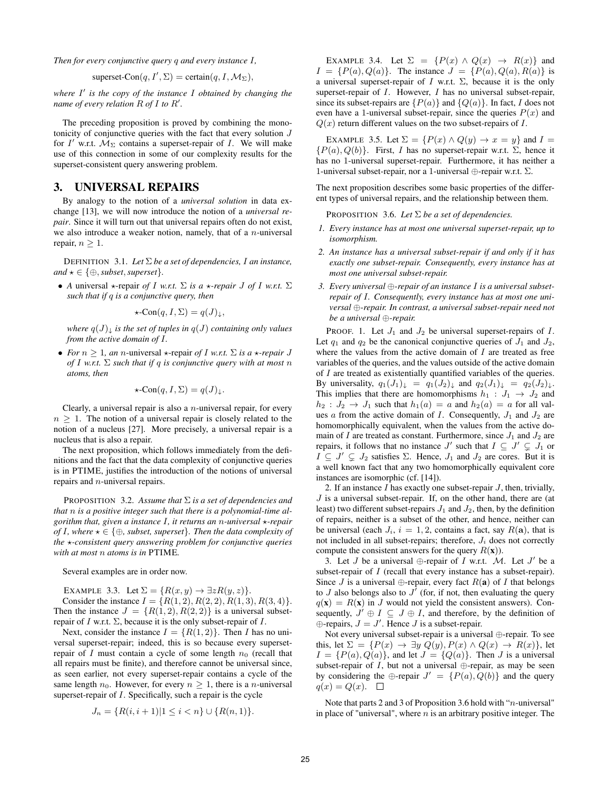*Then for every conjunctive query* q *and every instance* I*,*

superset-Con
$$
(q, I', \Sigma)
$$
 = certain $(q, I, \mathcal{M}_{\Sigma})$ ,

where I' is the copy of the instance I obtained by changing the *name of every relation* R *of* I *to* R 0 *.*

The preceding proposition is proved by combining the monotonicity of conjunctive queries with the fact that every solution J for  $I'$  w.r.t.  $\mathcal{M}_{\Sigma}$  contains a superset-repair of I. We will make use of this connection in some of our complexity results for the superset-consistent query answering problem.

## 3. UNIVERSAL REPAIRS

By analogy to the notion of a *universal solution* in data exchange [13], we will now introduce the notion of a *universal repair*. Since it will turn out that universal repairs often do not exist, we also introduce a weaker notion, namely, that of a  $n$ -universal repair,  $n \geq 1$ .

DEFINITION 3.1. *Let* Σ *be a set of dependencies,* I *an instance,*  $and \star \in \{\oplus, \textit{subset}, \textit{superset}\}.$ 

• *A* universal  $\star$ -repair *of I w.r.t.*  $\Sigma$  *is a*  $\star$ -repair *J of I w.r.t.*  $\Sigma$ *such that if* q *is a conjunctive query, then*

$$
\star\text{-Con}(q, I, \Sigma) = q(J)_{\downarrow},
$$

*where*  $q(J)$ <sub> $\downarrow$ </sub> *is the set of tuples in*  $q(J)$  *containing only values from the active domain of* I*.*

• *For*  $n \geq 1$ *, an n*-universal  $\star$ -repair *of* I *w.r.t.*  $\Sigma$  *is a*  $\star$ -*repair* J *of* I *w.r.t.* Σ *such that if* q *is conjunctive query with at most* n *atoms, then*

$$
\star\text{-Con}(q, I, \Sigma) = q(J)_{\downarrow}.
$$

Clearly, a universal repair is also a  $n$ -universal repair, for every  $n > 1$ . The notion of a universal repair is closely related to the notion of a nucleus [27]. More precisely, a universal repair is a nucleus that is also a repair.

The next proposition, which follows immediately from the definitions and the fact that the data complexity of conjunctive queries is in PTIME, justifies the introduction of the notions of universal repairs and n-universal repairs.

PROPOSITION 3.2. *Assume that* Σ *is a set of dependencies and that* n *is a positive integer such that there is a polynomial-time algorithm that, given a instance* I*, it returns an* n*-universal* ?*-repair of I, where*  $\star \in \{\oplus, \text{subset, superset}\}$ *. Then the data complexity of the*  $\star$ -consistent query answering problem for conjunctive queries *with at most* n *atoms is in* PTIME*.*

Several examples are in order now.

EXAMPLE 3.3. Let  $\Sigma = \{R(x, y) \rightarrow \exists z R(y, z)\}.$ Consider the instance  $I = \{R(1, 2), R(2, 2), R(1, 3), R(3, 4)\}.$ Then the instance  $J = \{R(1, 2), R(2, 2)\}\$ is a universal subsetrepair of I w.r.t.  $\Sigma$ , because it is the only subset-repair of I.

Next, consider the instance  $I = \{R(1, 2)\}\.$  Then I has no universal superset-repair; indeed, this is so because every supersetrepair of  $I$  must contain a cycle of some length  $n_0$  (recall that all repairs must be finite), and therefore cannot be universal since, as seen earlier, not every superset-repair contains a cycle of the same length  $n_0$ . However, for every  $n \geq 1$ , there is a *n*-universal superset-repair of  $I$ . Specifically, such a repair is the cycle

$$
J_n = \{ R(i, i+1) | 1 \le i < n \} \cup \{ R(n, 1) \}.
$$

EXAMPLE 3.4. Let  $\Sigma = \{P(x) \land Q(x) \rightarrow R(x)\}\$ and  $I = {P(a), Q(a)}$ . The instance  $J = {P(a), Q(a), R(a)}$  is a universal superset-repair of I w.r.t.  $\Sigma$ , because it is the only superset-repair of *I*. However, *I* has no universal subset-repair, since its subset-repairs are  $\{P(a)\}\$  and  $\{Q(a)\}\$ . In fact, I does not even have a 1-universal subset-repair, since the queries  $P(x)$  and  $Q(x)$  return different values on the two subset-repairs of I.

EXAMPLE 3.5. Let  $\Sigma = \{P(x) \land Q(y) \rightarrow x = y\}$  and  $I =$  ${P(a), Q(b)}$ . First, I has no superset-repair w.r.t.  $\Sigma$ , hence it has no 1-universal superset-repair. Furthermore, it has neither a 1-universal subset-repair, nor a 1-universal  $\oplus$ -repair w.r.t.  $\Sigma$ .

The next proposition describes some basic properties of the different types of universal repairs, and the relationship between them.

PROPOSITION 3.6. *Let* Σ *be a set of dependencies.*

- *1. Every instance has at most one universal superset-repair, up to isomorphism.*
- *2. An instance has a universal subset-repair if and only if it has exactly one subset-repair. Consequently, every instance has at most one universal subset-repair.*
- *3. Every universal* ⊕*-repair of an instance* I *is a universal subsetrepair of* I*. Consequently, every instance has at most one universal* ⊕*-repair. In contrast, a universal subset-repair need not be a universal* ⊕*-repair.*

PROOF. 1. Let  $J_1$  and  $J_2$  be universal superset-repairs of  $I$ . Let  $q_1$  and  $q_2$  be the canonical conjunctive queries of  $J_1$  and  $J_2$ , where the values from the active domain of  $I$  are treated as free variables of the queries, and the values outside of the active domain of I are treated as existentially quantified variables of the queries. By universality,  $q_1(J_1)_{\downarrow} = q_1(J_2)_{\downarrow}$  and  $q_2(J_1)_{\downarrow} = q_2(J_2)_{\downarrow}$ . This implies that there are homomorphisms  $h_1 : J_1 \rightarrow J_2$  and  $h_2$ :  $J_2 \rightarrow J_1$  such that  $h_1(a) = a$  and  $h_2(a) = a$  for all values  $\alpha$  from the active domain of  $I$ . Consequently,  $J_1$  and  $J_2$  are homomorphically equivalent, when the values from the active domain of I are treated as constant. Furthermore, since  $J_1$  and  $J_2$  are repairs, it follows that no instance  $J'$  such that  $I \subseteq J' \subsetneq J_1$  or  $I \subseteq J' \subsetneq J_2$  satisfies  $\Sigma$ . Hence,  $J_1$  and  $J_2$  are cores. But it is a well known fact that any two homomorphically equivalent core instances are isomorphic (cf. [14]).

2. If an instance  $I$  has exactly one subset-repair  $J$ , then, trivially,  $J$  is a universal subset-repair. If, on the other hand, there are (at least) two different subset-repairs  $J_1$  and  $J_2$ , then, by the definition of repairs, neither is a subset of the other, and hence, neither can be universal (each  $J_i$ ,  $i = 1, 2$ , contains a fact, say  $R(\mathbf{a})$ , that is not included in all subset-repairs; therefore,  $J_i$  does not correctly compute the consistent answers for the query  $R(\mathbf{x})$ ).

3. Let  $J$  be a universal  $\bigoplus$ -repair of  $I$  w.r.t.  $\mathcal{M}$ . Let  $J'$  be a subset-repair of I (recall that every instance has a subset-repair). Since *J* is a universal  $\oplus$ -repair, every fact  $R(\mathbf{a})$  of *I* that belongs to J also belongs also to  $J^{\dagger}$  (for, if not, then evaluating the query  $q(\mathbf{x}) = R(\mathbf{x})$  in J would not yield the consistent answers). Consequently,  $J' \oplus I \subseteq J \oplus I$ , and therefore, by the definition of  $\oplus$ -repairs,  $J = J'$ . Hence J is a subset-repair.

Not every universal subset-repair is a universal ⊕-repair. To see this, let  $\Sigma = \{P(x) \rightarrow \exists y \ Q(y), P(x) \land Q(x) \rightarrow R(x)\}\$ , let  $I = {P(a), Q(a)}$ , and let  $J = {Q(a)}$ . Then J is a universal subset-repair of I, but not a universal  $\oplus$ -repair, as may be seen by considering the ⊕-repair  $J' = \{P(a), Q(b)\}\$ and the query  $q(x) = Q(x)$ .  $\Box$ 

Note that parts 2 and 3 of Proposition 3.6 hold with "*n*-universal" in place of "universal", where  $n$  is an arbitrary positive integer. The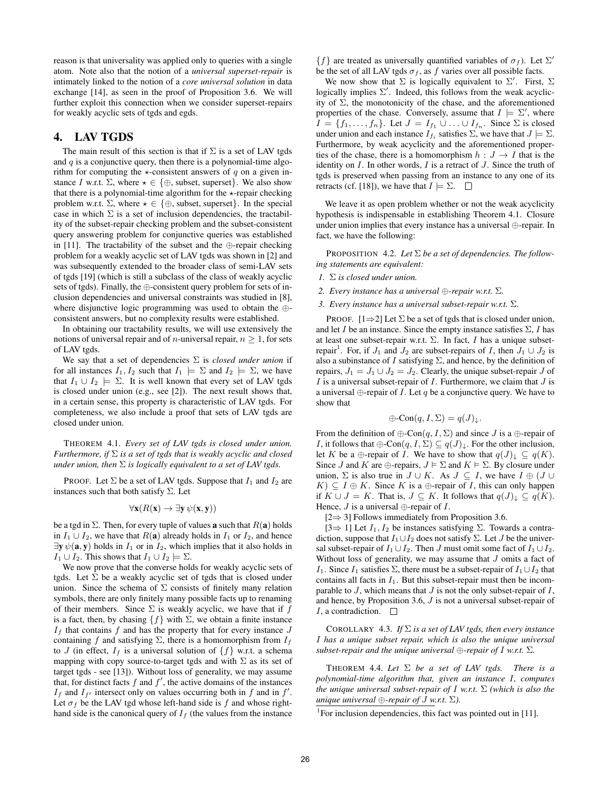reason is that universality was applied only to queries with a single atom. Note also that the notion of a *universal superset-repair* is intimately linked to the notion of a *core universal solution* in data exchange [14], as seen in the proof of Proposition 3.6. We will further exploit this connection when we consider superset-repairs for weakly acyclic sets of tgds and egds.

## 4. LAV TGDS

The main result of this section is that if  $\Sigma$  is a set of LAV tgds and  $q$  is a conjunctive query, then there is a polynomial-time algorithm for computing the  $\star$ -consistent answers of q on a given instance I w.r.t.  $\Sigma$ , where  $\star \in \{\oplus, \text{subset, superset}\}.$  We also show that there is a polynomial-time algorithm for the  $\star$ -repair checking problem w.r.t.  $\Sigma$ , where  $\star \in \{\oplus, \text{subset, superset}\}.$  In the special case in which  $\Sigma$  is a set of inclusion dependencies, the tractability of the subset-repair checking problem and the subset-consistent query answering problem for conjunctive queries was established in [11]. The tractability of the subset and the ⊕-repair checking problem for a weakly acyclic set of LAV tgds was shown in [2] and was subsequently extended to the broader class of semi-LAV sets of tgds [19] (which is still a subclass of the class of weakly acyclic sets of tgds). Finally, the ⊕-consistent query problem for sets of inclusion dependencies and universal constraints was studied in [8], where disjunctive logic programming was used to obtain the ⊕ consistent answers, but no complexity results were established.

In obtaining our tractability results, we will use extensively the notions of universal repair and of *n*-universal repair,  $n \geq 1$ , for sets of LAV tgds.

We say that a set of dependencies Σ is *closed under union* if for all instances  $I_1, I_2$  such that  $I_1 \models \Sigma$  and  $I_2 \models \Sigma$ , we have that  $I_1 \cup I_2 \models \Sigma$ . It is well known that every set of LAV tgds is closed under union (e.g., see [2]). The next result shows that, in a certain sense, this property is characteristic of LAV tgds. For completeness, we also include a proof that sets of LAV tgds are closed under union.

THEOREM 4.1. *Every set of LAV tgds is closed under union. Furthermore, if* Σ *is a set of tgds that is weakly acyclic and closed under union, then* Σ *is logically equivalent to a set of LAV tgds.*

PROOF. Let  $\Sigma$  be a set of LAV tgds. Suppose that  $I_1$  and  $I_2$  are instances such that both satisfy  $\Sigma$ . Let

$$
\forall \mathbf{x}(R(\mathbf{x}) \to \exists \mathbf{y} \, \psi(\mathbf{x}, \mathbf{y}))
$$

be a tgd in  $\Sigma$ . Then, for every tuple of values **a** such that  $R(\mathbf{a})$  holds in  $I_1 \cup I_2$ , we have that  $R(a)$  already holds in  $I_1$  or  $I_2$ , and hence  $\exists y \psi(a, y)$  holds in  $I_1$  or in  $I_2$ , which implies that it also holds in  $I_1 \cup I_2$ . This shows that  $I_1 \cup I_2 \models \Sigma$ .

We now prove that the converse holds for weakly acyclic sets of tgds. Let  $\Sigma$  be a weakly acyclic set of tgds that is closed under union. Since the schema of  $\Sigma$  consists of finitely many relation symbols, there are only finitely many possible facts up to renaming of their members. Since  $\Sigma$  is weakly acyclic, we have that if f is a fact, then, by chasing  $\{f\}$  with  $\Sigma$ , we obtain a finite instance  $I_f$  that contains f and has the property that for every instance  $J$ containing f and satisfying  $\Sigma$ , there is a homomorphism from  $I_f$ to J (in effect,  $I_f$  is a universal solution of  $\{f\}$  w.r.t. a schema mapping with copy source-to-target tgds and with  $\Sigma$  as its set of target tgds - see [13]). Without loss of generality, we may assume that, for distinct facts  $f$  and  $f'$ , the active domains of the instances  $I_f$  and  $I_{f'}$  intersect only on values occurring both in f and in f'. Let  $\sigma_f$  be the LAV tgd whose left-hand side is f and whose righthand side is the canonical query of  $I_f$  (the values from the instance

 ${f}$  are treated as universally quantified variables of  $\sigma_f$ ). Let  $\Sigma'$ be the set of all LAV tgds  $\sigma_f$ , as f varies over all possible facts.

We now show that  $\Sigma$  is logically equivalent to  $\Sigma'$ . First,  $\Sigma$ logically implies  $\Sigma'$ . Indeed, this follows from the weak acyclicity of  $\Sigma$ , the monotonicity of the chase, and the aforementioned properties of the chase. Conversely, assume that  $I \models \Sigma'$ , where  $I = \{f_1, \ldots, f_n\}$ . Let  $J = I_{f_1} \cup \ldots \cup I_{f_n}$ . Since  $\Sigma$  is closed under union and each instance  $I_{f_i}$  satisfies  $\Sigma$ , we have that  $J \models \Sigma$ . Furthermore, by weak acyclicity and the aforementioned properties of the chase, there is a homomorphism  $h : J \to I$  that is the identity on  $I$ . In other words,  $I$  is a retract of  $J$ . Since the truth of tgds is preserved when passing from an instance to any one of its retracts (cf. [18]), we have that  $I \models \Sigma$ .  $\Box$ 

We leave it as open problem whether or not the weak acyclicity hypothesis is indispensable in establishing Theorem 4.1. Closure under union implies that every instance has a universal ⊕-repair. In fact, we have the following:

PROPOSITION 4.2. *Let* Σ *be a set of dependencies. The following statements are equivalent:*

- *1.* Σ *is closed under union.*
- *2. Every instance has a universal* ⊕*-repair w.r.t.* Σ*.*
- *3. Every instance has a universal subset-repair w.r.t.* Σ*.*

PROOF.  $[1\Rightarrow 2]$  Let  $\Sigma$  be a set of tgds that is closed under union, and let I be an instance. Since the empty instance satisfies  $\Sigma$ , I has at least one subset-repair w.r.t.  $\Sigma$ . In fact, I has a unique subsetrepair<sup>1</sup>. For, if  $J_1$  and  $J_2$  are subset-repairs of I, then  $J_1 \cup J_2$  is also a subinstance of I satisfying  $\Sigma$ , and hence, by the definition of repairs,  $J_1 = J_1 \cup J_2 = J_2$ . Clearly, the unique subset-repair J of  $I$  is a universal subset-repair of  $I$ . Furthermore, we claim that  $J$  is a universal  $\oplus$ -repair of *I*. Let q be a conjunctive query. We have to show that

$$
\oplus \text{Con}(q, I, \Sigma) = q(J)_{\downarrow}.
$$

From the definition of  $\bigoplus$ -Con $(q, I, \Sigma)$  and since J is a  $\bigoplus$ -repair of *I*, it follows that  $\bigoplus$ -Con $(q, I, \Sigma) \subseteq q(J)_{\downarrow}$ . For the other inclusion, let K be a  $\bigoplus$ -repair of I. We have to show that  $q(J)_\downarrow \subseteq q(K)$ . Since J and K are  $\bigoplus$ -repairs,  $J \vDash \Sigma$  and  $K \vDash \Sigma$ . By closure under union,  $\Sigma$  is also true in  $J \cup K$ . As  $J \subseteq I$ , we have  $I \oplus (J \cup$  $K$ )  $\subseteq I \oplus K$ . Since K is a  $\oplus$ -repair of I, this can only happen if  $K \cup J = K$ . That is,  $J \subseteq K$ . It follows that  $q(J)_{\downarrow} \subseteq q(K)$ . Hence,  $J$  is a universal  $\oplus$ -repair of  $I$ .

[2⇒ 3] Follows immediately from Proposition 3.6.

[3⇒ 1] Let  $I_1, I_2$  be instances satisfying  $\Sigma$ . Towards a contradiction, suppose that  $I_1 \cup I_2$  does not satisfy  $\Sigma$ . Let  $J$  be the universal subset-repair of  $I_1 \cup I_2$ . Then J must omit some fact of  $I_1 \cup I_2$ . Without loss of generality, we may assume that  $J$  omits a fact of I<sub>1</sub>. Since I<sub>1</sub> satisfies  $\Sigma$ , there must be a subset-repair of  $I_1 \cup I_2$  that contains all facts in  $I_1$ . But this subset-repair must then be incomparable to  $J$ , which means that  $J$  is not the only subset-repair of  $I$ , and hence, by Proposition 3.6, J is not a universal subset-repair of *I*, a contradiction.  $\Box$ 

COROLLARY 4.3. *If* Σ *is a set of LAV tgds, then every instance* I *has a unique subset repair, which is also the unique universal subset-repair and the unique universal* ⊕*-repair of* I *w.r.t.* Σ*.*

THEOREM 4.4. Let  $\Sigma$  be a set of LAV tgds. There is a *polynomial-time algorithm that, given an instance* I*, computes the unique universal subset-repair of* I *w.r.t.* Σ *(which is also the unique universal* ⊕*-repair of* J *w.r.t.* Σ*).*

<sup>&</sup>lt;sup>1</sup>For inclusion dependencies, this fact was pointed out in [11].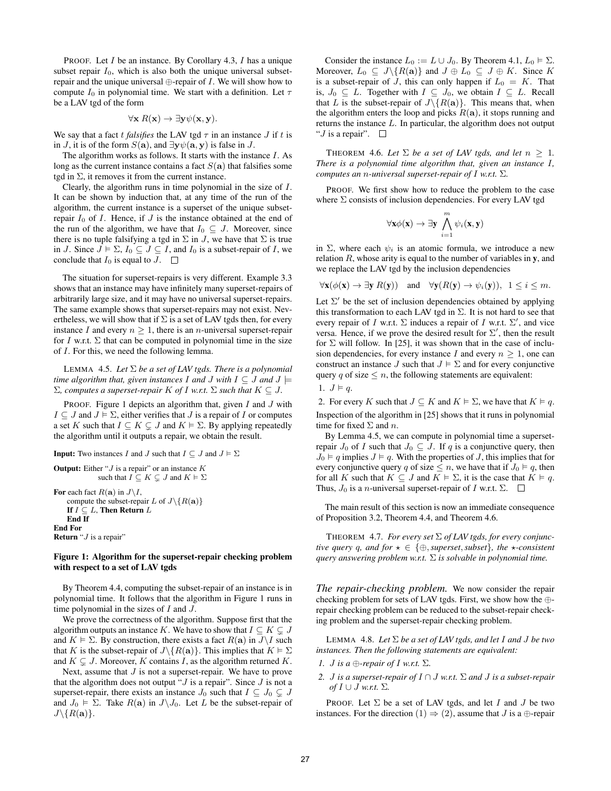PROOF. Let  $I$  be an instance. By Corollary 4.3,  $I$  has a unique subset repair  $I_0$ , which is also both the unique universal subsetrepair and the unique universal  $\bigoplus$ -repair of *I*. We will show how to compute  $I_0$  in polynomial time. We start with a definition. Let  $\tau$ be a LAV tgd of the form

$$
\forall \mathbf{x} \; R(\mathbf{x}) \to \exists \mathbf{y} \psi(\mathbf{x}, \mathbf{y}).
$$

We say that a fact t *falsifies* the LAV tgd  $\tau$  in an instance J if t is in J, it is of the form  $S(\mathbf{a})$ , and  $\exists \mathbf{y} \psi(\mathbf{a}, \mathbf{y})$  is false in J.

The algorithm works as follows. It starts with the instance I. As long as the current instance contains a fact  $S(\mathbf{a})$  that falsifies some tgd in  $\Sigma$ , it removes it from the current instance.

Clearly, the algorithm runs in time polynomial in the size of I. It can be shown by induction that, at any time of the run of the algorithm, the current instance is a superset of the unique subsetrepair  $I_0$  of  $I$ . Hence, if  $J$  is the instance obtained at the end of the run of the algorithm, we have that  $I_0 \subseteq J$ . Moreover, since there is no tuple falsifying a tgd in  $\Sigma$  in J, we have that  $\Sigma$  is true in J. Since  $J \models \Sigma$ ,  $I_0 \subseteq J \subseteq I$ , and  $I_0$  is a subset-repair of I, we conclude that  $I_0$  is equal to  $J$ .  $\Box$ 

The situation for superset-repairs is very different. Example 3.3 shows that an instance may have infinitely many superset-repairs of arbitrarily large size, and it may have no universal superset-repairs. The same example shows that superset-repairs may not exist. Nevertheless, we will show that if  $\Sigma$  is a set of LAV tgds then, for every instance I and every  $n \geq 1$ , there is an *n*-universal superset-repair for I w.r.t.  $\Sigma$  that can be computed in polynomial time in the size of I. For this, we need the following lemma.

LEMMA 4.5. *Let* Σ *be a set of LAV tgds. There is a polynomial time algorithm that, given instances I and J with*  $I \subseteq J$  *and*  $J \models$  $Σ$ *, computes a superset-repair K of I w.r.t.*  $Σ$  *such that*  $K ⊆ J$ *.* 

PROOF. Figure 1 depicts an algorithm that, given  $I$  and  $J$  with  $I \subseteq J$  and  $J \models \Sigma$ , either verifies that J is a repair of I or computes a set K such that  $I \subseteq K \subsetneq J$  and  $K \models \Sigma$ . By applying repeatedly the algorithm until it outputs a repair, we obtain the result.

**Input:** Two instances I and J such that  $I \subseteq J$  and  $J \models \Sigma$ 

**Output:** Either " $J$  is a repair" or an instance  $K$ such that  $I \subseteq K \subsetneq J$  and  $K \models \Sigma$ For each fact  $R(\mathbf{a})$  in  $J\backslash I$ , compute the subset-repair L of  $J \setminus \{R(\mathbf{a})\}$ If  $I \subseteq L$ , Then Return  $L$ End If End For Return " $J$  is a repair"

#### Figure 1: Algorithm for the superset-repair checking problem with respect to a set of LAV tgds

By Theorem 4.4, computing the subset-repair of an instance is in polynomial time. It follows that the algorithm in Figure 1 runs in time polynomial in the sizes of  $I$  and  $J$ .

We prove the correctness of the algorithm. Suppose first that the algorithm outputs an instance K. We have to show that  $I \subseteq K \subsetneq J$ and  $K \models \Sigma$ . By construction, there exists a fact  $R(\mathbf{a})$  in  $J\setminus I$  such that K is the subset-repair of  $J \setminus \{R(\mathbf{a})\}$ . This implies that  $K \models \Sigma$ and  $K \subseteq J$ . Moreover, K contains I, as the algorithm returned K.

Next, assume that  $J$  is not a superset-repair. We have to prove that the algorithm does not output " $J$  is a repair". Since  $J$  is not a superset-repair, there exists an instance  $J_0$  such that  $I \subseteq J_0 \subsetneq J$ and  $J_0 \models \Sigma$ . Take  $R(\mathbf{a})$  in  $J \setminus J_0$ . Let L be the subset-repair of  $J\backslash\{R({\bf a})\}.$ 

Consider the instance  $L_0 := L \cup J_0$ . By Theorem 4.1,  $L_0 \models \Sigma$ . Moreover,  $L_0 \subseteq J \setminus \{R(\mathbf{a})\}$  and  $J \oplus L_0 \subseteq J \oplus K$ . Since K is a subset-repair of J, this can only happen if  $L_0 = K$ . That is,  $J_0 \subseteq L$ . Together with  $I \subseteq J_0$ , we obtain  $I \subseteq L$ . Recall that L is the subset-repair of  $J\backslash {R(\mathbf{a})}$ . This means that, when the algorithm enters the loop and picks  $R(a)$ , it stops running and returns the instance L. In particular, the algorithm does not output " $J$  is a repair".  $\Box$ 

THEOREM 4.6. Let  $\Sigma$  be a set of LAV tgds, and let  $n > 1$ . *There is a polynomial time algorithm that, given an instance* I*, computes an* n*-universal superset-repair of* I *w.r.t.* Σ*.*

PROOF. We first show how to reduce the problem to the case where  $\Sigma$  consists of inclusion dependencies. For every LAV tgd

^m

$$
\forall \mathbf{x} \phi(\mathbf{x}) \rightarrow \exists \mathbf{y} \bigwedge_{i=1}^{m} \psi_i(\mathbf{x}, \mathbf{y})
$$

in  $\Sigma$ , where each  $\psi_i$  is an atomic formula, we introduce a new relation  $R$ , whose arity is equal to the number of variables in y, and we replace the LAV tgd by the inclusion dependencies

$$
\forall \mathbf{x}(\phi(\mathbf{x}) \to \exists \mathbf{y} \; R(\mathbf{y})) \quad \text{and} \quad \forall \mathbf{y}(R(\mathbf{y}) \to \psi_i(\mathbf{y})), \; 1 \leq i \leq m.
$$

Let  $\Sigma'$  be the set of inclusion dependencies obtained by applying this transformation to each LAV tgd in  $\Sigma$ . It is not hard to see that every repair of I w.r.t.  $\Sigma$  induces a repair of I w.r.t.  $\Sigma'$ , and vice versa. Hence, if we prove the desired result for  $\Sigma'$ , then the result for  $\Sigma$  will follow. In [25], it was shown that in the case of inclusion dependencies, for every instance I and every  $n \geq 1$ , one can construct an instance J such that  $J \models \Sigma$  and for every conjunctive query q of size  $\leq n$ , the following statements are equivalent:

$$
1. \, J \vDash q.
$$

2. For every K such that  $J \subseteq K$  and  $K \models \Sigma$ , we have that  $K \models q$ . Inspection of the algorithm in [25] shows that it runs in polynomial time for fixed  $\Sigma$  and n.

By Lemma 4.5, we can compute in polynomial time a supersetrepair  $J_0$  of I such that  $J_0 \subseteq J$ . If q is a conjunctive query, then  $J_0 \models q$  implies  $J \models q$ . With the properties of J, this implies that for every conjunctive query q of size  $\leq n$ , we have that if  $J_0 \vDash q$ , then for all K such that  $K \subseteq J$  and  $K \models \Sigma$ , it is the case that  $K \models q$ . Thus,  $J_0$  is a *n*-universal superset-repair of I w.r.t.  $\Sigma$ .  $\square$ 

The main result of this section is now an immediate consequence of Proposition 3.2, Theorem 4.4, and Theorem 4.6.

THEOREM 4.7. *For every set* Σ *of LAV tgds, for every conjunctive query* q*, and for*  $\star \in \{\oplus, \text{superset}, \text{subset}\}$ *, the*  $\star$ *-consistent query answering problem w.r.t.* Σ *is solvable in polynomial time.*

*The repair-checking problem.* We now consider the repair checking problem for sets of LAV tgds. First, we show how the ⊕ repair checking problem can be reduced to the subset-repair checking problem and the superset-repair checking problem.

LEMMA 4.8. *Let* Σ *be a set of LAV tgds, and let* I *and* J *be two instances. Then the following statements are equivalent:*

- *1. J is a*  $\bigoplus$ *-repair of I w.r.t.*  $\Sigma$ *.*
- *2.* J *is a superset-repair of* I ∩ J *w.r.t.* Σ *and* J *is a subset-repair of I* ∪ *J w.r.t.* Σ*.*

PROOF. Let  $\Sigma$  be a set of LAV tgds, and let I and J be two instances. For the direction  $(1) \Rightarrow (2)$ , assume that J is a  $\oplus$ -repair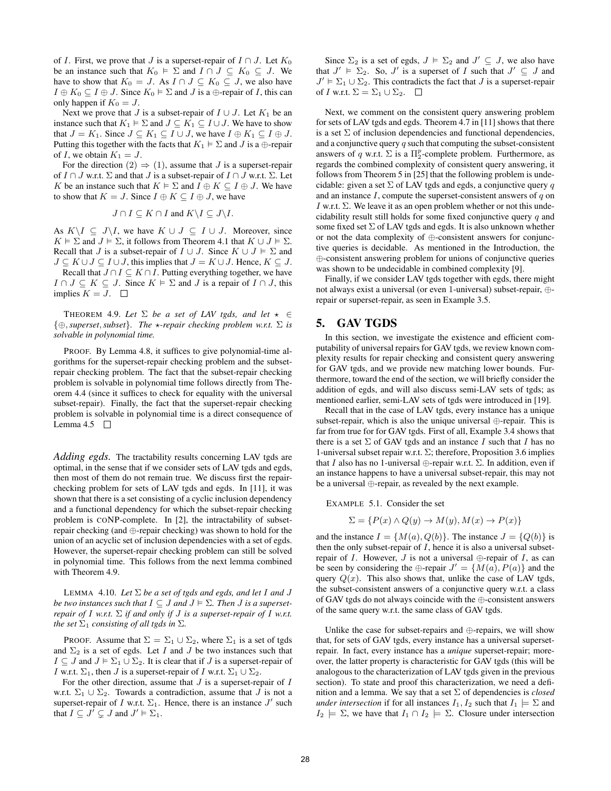of I. First, we prove that J is a superset-repair of  $I \cap J$ . Let  $K_0$ be an instance such that  $K_0 \models \Sigma$  and  $I \cap J \subseteq K_0 \subseteq J$ . We have to show that  $K_0 = J$ . As  $I \cap J \subseteq K_0 \subseteq J$ , we also have  $I \oplus K_0 \subseteq I \oplus J$ . Since  $K_0 \models \Sigma$  and J is a  $\oplus$ -repair of I, this can only happen if  $K_0 = J$ .

Next we prove that J is a subset-repair of  $I \cup J$ . Let  $K_1$  be an instance such that  $K_1 \vDash \Sigma$  and  $J \subseteq K_1 \subseteq I \cup J$ . We have to show that  $J = K_1$ . Since  $J \subseteq K_1 \subseteq I \cup J$ , we have  $I \oplus K_1 \subseteq I \oplus J$ . Putting this together with the facts that  $K_1 \vDash \Sigma$  and J is a  $\oplus$ -repair of I, we obtain  $K_1 = J$ .

For the direction  $(2) \Rightarrow (1)$ , assume that J is a superset-repair of  $I \cap J$  w.r.t.  $\Sigma$  and that  $J$  is a subset-repair of  $I \cap J$  w.r.t.  $\Sigma$ . Let K be an instance such that  $K \models \Sigma$  and  $I \oplus K \subseteq I \oplus J$ . We have to show that  $K = J$ . Since  $I \oplus K \subseteq I \oplus J$ , we have

$$
J \cap I \subseteq K \cap I \text{ and } K \setminus I \subseteq J \setminus I.
$$

As  $K\setminus I \subseteq J\setminus I$ , we have  $K \cup J \subseteq I \cup J$ . Moreover, since  $K \models \Sigma$  and  $J \models \Sigma$ , it follows from Theorem 4.1 that  $K \cup J \models \Sigma$ . Recall that J is a subset-repair of  $I \cup J$ . Since  $K \cup J \models \Sigma$  and  $J \subseteq K \cup J \subseteq I \cup J$ , this implies that  $J = K \cup J$ . Hence,  $K \subseteq J$ .

Recall that  $J \cap I \subseteq K \cap I$ . Putting everything together, we have  $I \cap J \subseteq K \subseteq J$ . Since  $K \models \Sigma$  and J is a repair of  $I \cap J$ , this implies  $K = J$ .  $\Box$ 

THEOREM 4.9. Let  $\Sigma$  *be a set of LAV tgds, and let*  $\star \in$ {⊕,*superset*,*subset*}*. The* ?*-repair checking problem w.r.t.* Σ *is solvable in polynomial time.*

PROOF. By Lemma 4.8, it suffices to give polynomial-time algorithms for the superset-repair checking problem and the subsetrepair checking problem. The fact that the subset-repair checking problem is solvable in polynomial time follows directly from Theorem 4.4 (since it suffices to check for equality with the universal subset-repair). Finally, the fact that the superset-repair checking problem is solvable in polynomial time is a direct consequence of Lemma 4.5  $\Box$ 

*Adding egds.* The tractability results concerning LAV tgds are optimal, in the sense that if we consider sets of LAV tgds and egds, then most of them do not remain true. We discuss first the repairchecking problem for sets of LAV tgds and egds. In [11], it was shown that there is a set consisting of a cyclic inclusion dependency and a functional dependency for which the subset-repair checking problem is CONP-complete. In [2], the intractability of subsetrepair checking (and ⊕-repair checking) was shown to hold for the union of an acyclic set of inclusion dependencies with a set of egds. However, the superset-repair checking problem can still be solved in polynomial time. This follows from the next lemma combined with Theorem 4.9.

LEMMA 4.10. Let  $\Sigma$  be a set of tgds and egds, and let I and J *be two instances such that*  $I \subseteq J$  *and*  $J \models \Sigma$ . Then *J is a supersetrepair of* I *w.r.t.* Σ *if and only if* J *is a superset-repair of* I *w.r.t. the set*  $\Sigma_1$  *consisting of all tgds in*  $\Sigma$ *.* 

PROOF. Assume that  $\Sigma = \Sigma_1 \cup \Sigma_2$ , where  $\Sigma_1$  is a set of tgds and  $\Sigma_2$  is a set of egds. Let I and J be two instances such that  $I \subseteq J$  and  $J \models \Sigma_1 \cup \Sigma_2$ . It is clear that if J is a superset-repair of *I* w.r.t.  $\Sigma_1$ , then *J* is a superset-repair of *I* w.r.t.  $\Sigma_1 \cup \Sigma_2$ .

For the other direction, assume that  $J$  is a superset-repair of  $I$ w.r.t.  $\Sigma_1 \cup \Sigma_2$ . Towards a contradiction, assume that J is not a superset-repair of I w.r.t.  $\Sigma_1$ . Hence, there is an instance  $J'$  such that  $I \subseteq J^{\prime} \subsetneq J$  and  $J' \models \Sigma_1$ .

Since  $\Sigma_2$  is a set of egds,  $J \models \Sigma_2$  and  $J' \subseteq J$ , we also have that  $J' \models \Sigma_2$ . So, J' is a superset of I such that  $J' \subseteq J$  and  $J' \vDash \Sigma_1 \cup \Sigma_2$ . This contradicts the fact that  $J$  is a superset-repair of I w.r.t.  $\Sigma = \Sigma_1 \cup \Sigma_2$ .  $\square$ 

Next, we comment on the consistent query answering problem for sets of LAV tgds and egds. Theorem 4.7 in [11] shows that there is a set  $\Sigma$  of inclusion dependencies and functional dependencies, and a conjunctive query  $q$  such that computing the subset-consistent answers of q w.r.t.  $\Sigma$  is a  $\Pi_2^p$ -complete problem. Furthermore, as regards the combined complexity of consistent query answering, it follows from Theorem 5 in [25] that the following problem is undecidable: given a set  $\Sigma$  of LAV tgds and egds, a conjunctive query q and an instance  $I$ , compute the superset-consistent answers of  $q$  on I w.r.t.  $\Sigma$ . We leave it as an open problem whether or not this undecidability result still holds for some fixed conjunctive query  $q$  and some fixed set  $\Sigma$  of LAV tgds and egds. It is also unknown whether or not the data complexity of ⊕-consistent answers for conjunctive queries is decidable. As mentioned in the Introduction, the ⊕-consistent answering problem for unions of conjunctive queries was shown to be undecidable in combined complexity [9].

Finally, if we consider LAV tgds together with egds, there might not always exist a universal (or even 1-universal) subset-repair, ⊕ repair or superset-repair, as seen in Example 3.5.

## 5. GAV TGDS

In this section, we investigate the existence and efficient computability of universal repairs for GAV tgds, we review known complexity results for repair checking and consistent query answering for GAV tgds, and we provide new matching lower bounds. Furthermore, toward the end of the section, we will briefly consider the addition of egds, and will also discuss semi-LAV sets of tgds; as mentioned earlier, semi-LAV sets of tgds were introduced in [19].

Recall that in the case of LAV tgds, every instance has a unique subset-repair, which is also the unique universal ⊕-repair. This is far from true for for GAV tgds. First of all, Example 3.4 shows that there is a set  $\Sigma$  of GAV tgds and an instance I such that I has no 1-universal subset repair w.r.t.  $\Sigma$ ; therefore, Proposition 3.6 implies that I also has no 1-universal  $\oplus$ -repair w.r.t.  $\Sigma$ . In addition, even if an instance happens to have a universal subset-repair, this may not be a universal ⊕-repair, as revealed by the next example.

EXAMPLE 5.1. Consider the set

$$
\Sigma = \{ P(x) \land Q(y) \rightarrow M(y), M(x) \rightarrow P(x) \}
$$

and the instance  $I = \{M(a), Q(b)\}\.$  The instance  $J = \{Q(b)\}\.$ then the only subset-repair of  $I$ , hence it is also a universal subsetrepair of I. However, J is not a universal  $\oplus$ -repair of I, as can be seen by considering the ⊕-repair  $J' = \{M(a), P(a)\}\$ and the query  $Q(x)$ . This also shows that, unlike the case of LAV tgds, the subset-consistent answers of a conjunctive query w.r.t. a class of GAV tgds do not always coincide with the ⊕-consistent answers of the same query w.r.t. the same class of GAV tgds.

Unlike the case for subset-repairs and  $\oplus$ -repairs, we will show that, for sets of GAV tgds, every instance has a universal supersetrepair. In fact, every instance has a *unique* superset-repair; moreover, the latter property is characteristic for GAV tgds (this will be analogous to the characterization of LAV tgds given in the previous section). To state and proof this characterization, we need a definition and a lemma. We say that a set Σ of dependencies is *closed under intersection* if for all instances  $I_1, I_2$  such that  $I_1 \models \Sigma$  and  $I_2 \models \Sigma$ , we have that  $I_1 \cap I_2 \models \Sigma$ . Closure under intersection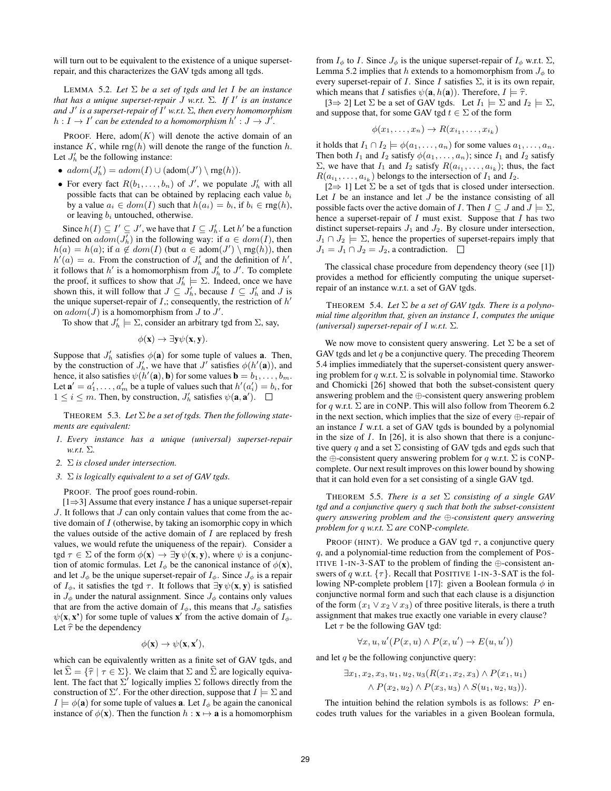will turn out to be equivalent to the existence of a unique supersetrepair, and this characterizes the GAV tgds among all tgds.

LEMMA 5.2. *Let* Σ *be a set of tgds and let* I *be an instance that has a unique superset-repair* J *w.r.t.* Σ*. If* I 0 *is an instance and* J 0 *is a superset-repair of* I <sup>0</sup> *w.r.t.* Σ*, then every homomorphism*  $h: I \to I'$  can be extended to a homomorphism  $h': J \to J'.$ 

PROOF. Here,  $adom(K)$  will denote the active domain of an instance  $K$ , while rng $(h)$  will denote the range of the function  $h$ . Let  $J'_h$  be the following instance:

- $adom(J'_{h}) = adom(I) \cup (adom(J') \setminus rng(h)).$
- For every fact  $R(b_1, \ldots, b_n)$  of  $J'$ , we populate  $J'_h$  with all possible facts that can be obtained by replacing each value  $b_i$ by a value  $a_i \in dom(I)$  such that  $h(a_i) = b_i$ , if  $b_i \in rng(h)$ , or leaving  $b_i$  untouched, otherwise.

Since  $h(I) \subseteq I' \subseteq J'$ , we have that  $I \subseteq J'_{h}$ . Let  $h'$  be a function defined on  $\alpha \text{dom}(J'_{h})$  in the following way: if  $a \in \text{dom}(I)$ , then  $h(a) = h(a)$ ; if  $a \notin dom(I)$  (but  $a \in adom(J') \setminus rng(h)$ ), then  $h'(a) = a$ . From the construction of  $J'_h$  and the definition of h', it follows that  $h'$  is a homomorphism from  $J'_h$  to  $J'$ . To complete the proof, it suffices to show that  $J'_h \models \Sigma$ . Indeed, once we have shown this, it will follow that  $J \subseteq J'_h$ , because  $I \subseteq J'_h$  and J is the unique superset-repair of  $I$ ,; consequently, the restriction of  $h'$ on  $\alpha \text{dom}(J)$  is a homomorphism from  $J$  to  $J'$ .

To show that  $J'_h \models \Sigma$ , consider an arbitrary tgd from  $\Sigma$ , say,

$$
\phi(\mathbf{x}) \to \exists \mathbf{y} \psi(\mathbf{x}, \mathbf{y}).
$$

Suppose that  $J'_h$  satisfies  $\phi(\mathbf{a})$  for some tuple of values **a**. Then, by the construction of  $J'_h$ , we have that  $J'$  satisfies  $\phi(h'(\mathbf{a}))$ , and hence, it also satisfies  $\psi(h'(\mathbf{a}), \mathbf{b})$  for some values  $\mathbf{b} = b_1, \dots, b_m$ . Let  $\mathbf{a}' = a'_1, \dots, a'_m$  be a tuple of values such that  $h'(a'_i) = b_i$ , for  $1 \leq i \leq m$ . Then, by construction,  $J'_h$  satisfies  $\psi(\mathbf{a}, \mathbf{a}')$ .

THEOREM 5.3. *Let* Σ *be a set of tgds. Then the following statements are equivalent:*

- *1. Every instance has a unique (universal) superset-repair w.r.t.* Σ*.*
- *2.* Σ *is closed under intersection.*
- *3.* Σ *is logically equivalent to a set of GAV tgds.*

#### PROOF. The proof goes round-robin.

 $[1\Rightarrow 3]$  Assume that every instance I has a unique superset-repair  $J$ . It follows that  $J$  can only contain values that come from the active domain of  $I$  (otherwise, by taking an isomorphic copy in which the values outside of the active domain of  $I$  are replaced by fresh values, we would refute the uniqueness of the repair). Consider a tgd  $\tau \in \Sigma$  of the form  $\phi(\mathbf{x}) \to \exists \mathbf{y} \psi(\mathbf{x}, \mathbf{y})$ , where  $\psi$  is a conjunction of atomic formulas. Let  $I_{\phi}$  be the canonical instance of  $\phi(\mathbf{x})$ , and let  $J_{\phi}$  be the unique superset-repair of  $I_{\phi}$ . Since  $J_{\phi}$  is a repair of  $I_{\phi}$ , it satisfies the tgd  $\tau$ . It follows that  $\exists y \psi(x, y)$  is satisfied in  $J_{\phi}$  under the natural assignment. Since  $J_{\phi}$  contains only values that are from the active domain of  $I_{\phi}$ , this means that  $J_{\phi}$  satisfies  $\psi(\mathbf{x}, \mathbf{x}')$  for some tuple of values  $\mathbf{x}'$  from the active domain of  $I_{\phi}$ . Let  $\hat{\tau}$  be the dependency

 $\phi(\mathbf{x}) \to \psi(\mathbf{x}, \mathbf{x}'),$ 

which can be equivalently written as a finite set of GAV tgds, and let  $\hat{\Sigma} = {\hat{\tau} | \tau \in \Sigma}$ . We claim that  $\Sigma$  and  $\hat{\Sigma}$  are logically equivalent. The fact that  $\Sigma'$  logically implies  $\Sigma$  follows directly from the construction of  $\Sigma'$ . For the other direction, suppose that  $I \models \Sigma$  and  $I \models \phi(\mathbf{a})$  for some tuple of values **a**. Let  $I_{\phi}$  be again the canonical instance of  $\phi(\mathbf{x})$ . Then the function  $h : \mathbf{x} \mapsto \mathbf{a}$  is a homomorphism from  $I_{\phi}$  to I. Since  $J_{\phi}$  is the unique superset-repair of  $I_{\phi}$  w.r.t.  $\Sigma$ , Lemma 5.2 implies that h extends to a homomorphism from  $J_{\phi}$  to every superset-repair of I. Since I satisfies  $\Sigma$ , it is its own repair, which means that I satisfies  $\psi(\mathbf{a}, h(\mathbf{a}))$ . Therefore,  $I \models \hat{\tau}$ .

 $[3 \Rightarrow 2]$  Let  $\Sigma$  be a set of GAV tgds. Let  $I_1 \models \Sigma$  and  $I_2 \models \Sigma$ , and suppose that, for some GAV tgd  $t \in \Sigma$  of the form

$$
\phi(x_1,\ldots,x_n)\to R(x_{i_1},\ldots,x_{i_k})
$$

it holds that  $I_1 \cap I_2 \models \phi(a_1, \ldots, a_n)$  for some values  $a_1, \ldots, a_n$ . Then both  $I_1$  and  $I_2$  satisfy  $\phi(a_1, \ldots, a_n)$ ; since  $I_1$  and  $I_2$  satisfy  $\Sigma$ , we have that  $I_1$  and  $I_2$  satisfy  $R(a_{i_1},...,a_{i_k})$ ; thus, the fact  $R(a_{i_1}, \ldots, a_{i_k})$  belongs to the intersection of  $I_1$  and  $I_2$ .

[2⇒ 1] Let  $\Sigma$  be a set of tgds that is closed under intersection. Let  $I$  be an instance and let  $J$  be the instance consisting of all possible facts over the active domain of I. Then  $I \subseteq J$  and  $J \models \Sigma$ , hence a superset-repair of  $I$  must exist. Suppose that  $I$  has two distinct superset-repairs  $J_1$  and  $J_2$ . By closure under intersection,  $J_1 \cap J_2 \models \Sigma$ , hence the properties of superset-repairs imply that  $J_1 = J_1 \cap J_2 = J_2$ , a contradiction.  $\Box$ 

The classical chase procedure from dependency theory (see [1]) provides a method for efficiently computing the unique supersetrepair of an instance w.r.t. a set of GAV tgds.

THEOREM 5.4. Let  $\Sigma$  be a set of GAV tgds. There is a polyno*mial time algorithm that, given an instance* I*, computes the unique (universal) superset-repair of* I *w.r.t.* Σ*.*

We now move to consistent query answering. Let  $\Sigma$  be a set of GAV tgds and let  $q$  be a conjunctive query. The preceding Theorem 5.4 implies immediately that the superset-consistent query answering problem for q w.r.t.  $\Sigma$  is solvable in polynomial time. Staworko and Chomicki [26] showed that both the subset-consistent query answering problem and the ⊕-consistent query answering problem for q w.r.t.  $\Sigma$  are in CONP. This will also follow from Theorem 6.2 in the next section, which implies that the size of every ⊕-repair of an instance  $I$  w.r.t. a set of GAV tgds is bounded by a polynomial in the size of  $I$ . In [26], it is also shown that there is a conjunctive query q and a set  $\Sigma$  consisting of GAV tgds and egds such that the  $\oplus$ -consistent query answering problem for q w.r.t.  $\Sigma$  is CONPcomplete. Our next result improves on this lower bound by showing that it can hold even for a set consisting of a single GAV tgd.

THEOREM 5.5. *There is a set* Σ *consisting of a single GAV tgd and a conjunctive query* q *such that both the subset-consistent query answering problem and the* ⊕*-consistent query answering problem for* q *w.r.t.* Σ *are* CONP*-complete.*

PROOF (HINT). We produce a GAV tgd  $\tau$ , a conjunctive query q, and a polynomial-time reduction from the complement of POS-ITIVE 1-IN-3-SAT to the problem of finding the  $\oplus$ -consistent answers of q w.r.t.  $\{\tau\}$ . Recall that POSITIVE 1-IN-3-SAT is the following NP-complete problem [17]: given a Boolean formula  $\phi$  in conjunctive normal form and such that each clause is a disjunction of the form  $(x_1 \vee x_2 \vee x_3)$  of three positive literals, is there a truth assignment that makes true exactly one variable in every clause?

Let  $\tau$  be the following GAV tgd:

$$
\forall x, u, u' (P(x, u) \land P(x, u') \rightarrow E(u, u'))
$$

and let  $q$  be the following conjunctive query:

$$
\exists x_1, x_2, x_3, u_1, u_2, u_3(R(x_1, x_2, x_3) \wedge P(x_1, u_1) \wedge P(x_2, u_2) \wedge P(x_3, u_3) \wedge S(u_1, u_2, u_3)).
$$

The intuition behind the relation symbols is as follows:  $P$  encodes truth values for the variables in a given Boolean formula,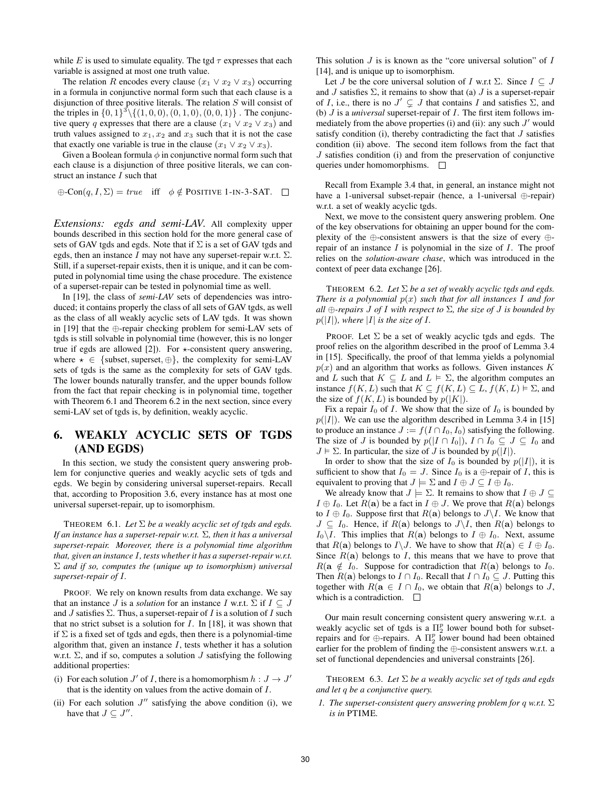while E is used to simulate equality. The tgd  $\tau$  expresses that each variable is assigned at most one truth value.

The relation R encodes every clause  $(x_1 \vee x_2 \vee x_3)$  occurring in a formula in conjunctive normal form such that each clause is a disjunction of three positive literals. The relation S will consist of the triples in  $\{0, 1\}^3 \setminus \{(1, 0, 0), (0, 1, 0), (0, 0, 1)\}$ . The conjunctive query q expresses that there are a clause  $(x_1 \vee x_2 \vee x_3)$  and truth values assigned to  $x_1, x_2$  and  $x_3$  such that it is not the case that exactly one variable is true in the clause  $(x_1 \vee x_2 \vee x_3)$ .

Given a Boolean formula  $\phi$  in conjunctive normal form such that each clause is a disjunction of three positive literals, we can construct an instance I such that

 $\oplus$ -Con $(q, I, \Sigma)$  = true iff  $\phi \notin$  POSITIVE 1-IN-3-SAT.  $\square$ 

*Extensions: egds and semi-LAV.* All complexity upper bounds described in this section hold for the more general case of sets of GAV tgds and egds. Note that if  $\Sigma$  is a set of GAV tgds and egds, then an instance I may not have any superset-repair w.r.t.  $\Sigma$ . Still, if a superset-repair exists, then it is unique, and it can be computed in polynomial time using the chase procedure. The existence of a superset-repair can be tested in polynomial time as well.

In [19], the class of *semi-LAV* sets of dependencies was introduced; it contains properly the class of all sets of GAV tgds, as well as the class of all weakly acyclic sets of LAV tgds. It was shown in [19] that the ⊕-repair checking problem for semi-LAV sets of tgds is still solvable in polynomial time (however, this is no longer true if egds are allowed [2]). For  $\star$ -consistent query answering, where  $\star \in \{\text{subset}, \oplus\},\$  the complexity for semi-LAV sets of tgds is the same as the complexity for sets of GAV tgds. The lower bounds naturally transfer, and the upper bounds follow from the fact that repair checking is in polynomial time, together with Theorem 6.1 and Theorem 6.2 in the next section, since every semi-LAV set of tgds is, by definition, weakly acyclic.

## 6. WEAKLY ACYCLIC SETS OF TGDS (AND EGDS)

In this section, we study the consistent query answering problem for conjunctive queries and weakly acyclic sets of tgds and egds. We begin by considering universal superset-repairs. Recall that, according to Proposition 3.6, every instance has at most one universal superset-repair, up to isomorphism.

THEOREM 6.1. *Let*  $\Sigma$  *be a weakly acyclic set of tgds and egds. If an instance has a superset-repair w.r.t.* Σ*, then it has a universal superset-repair. Moreover, there is a polynomial time algorithm that, given an instance* I*, tests whether it has a superset-repair w.r.t.* Σ *and if so, computes the (unique up to isomorphism) universal superset-repair of* I*.*

PROOF. We rely on known results from data exchange. We say that an instance *J* is a *solution* for an instance *I* w.r.t.  $\Sigma$  if  $I \subseteq J$ and  $J$  satisfies  $\Sigma$ . Thus, a superset-repair of  $I$  is a solution of  $I$  such that no strict subset is a solution for  $I$ . In [18], it was shown that if  $\Sigma$  is a fixed set of tgds and egds, then there is a polynomial-time algorithm that, given an instance  $I$ , tests whether it has a solution w.r.t.  $\Sigma$ , and if so, computes a solution J satisfying the following additional properties:

- (i) For each solution  $J'$  of I, there is a homomorphism  $h: J \to J'$ that is the identity on values from the active domain of I.
- (ii) For each solution  $J''$  satisfying the above condition (i), we have that  $J \subseteq J''$ .

This solution  $J$  is is known as the "core universal solution" of  $I$ [14], and is unique up to isomorphism.

Let J be the core universal solution of I w.r.t  $\Sigma$ . Since  $I \subset J$ and J satisfies  $\Sigma$ , it remains to show that (a) J is a superset-repair of I, i.e., there is no  $J' \subsetneq J$  that contains I and satisfies  $\Sigma$ , and (b) J is a *universal* superset-repair of I. The first item follows immediately from the above properties (i) and (ii): any such  $J'$  would satisfy condition (i), thereby contradicting the fact that  $J$  satisfies condition (ii) above. The second item follows from the fact that  $J$  satisfies condition (i) and from the preservation of conjunctive queries under homomorphisms.  $\square$ 

Recall from Example 3.4 that, in general, an instance might not have a 1-universal subset-repair (hence, a 1-universal ⊕-repair) w.r.t. a set of weakly acyclic tgds.

Next, we move to the consistent query answering problem. One of the key observations for obtaining an upper bound for the complexity of the ⊕-consistent answers is that the size of every ⊕ repair of an instance  $I$  is polynomial in the size of  $I$ . The proof relies on the *solution-aware chase*, which was introduced in the context of peer data exchange [26].

THEOREM 6.2. *Let* Σ *be a set of weakly acyclic tgds and egds. There is a polynomial*  $p(x)$  *such that for all instances* I *and for all* ⊕*-repairs* J *of* I *with respect to* Σ*, the size of* J *is bounded by*  $p(|I|)$ *, where* |I| *is the size of I*.

PROOF. Let  $\Sigma$  be a set of weakly acyclic tgds and egds. The proof relies on the algorithm described in the proof of Lemma 3.4 in [15]. Specifically, the proof of that lemma yields a polynomial  $p(x)$  and an algorithm that works as follows. Given instances K and L such that  $K \subseteq L$  and  $L \models \Sigma$ , the algorithm computes an instance  $f(K, L)$  such that  $K \subseteq f(K, L) \subseteq L$ ,  $f(K, L) \models \Sigma$ , and the size of  $f(K, L)$  is bounded by  $p(|K|)$ .

Fix a repair  $I_0$  of I. We show that the size of  $I_0$  is bounded by  $p(|I|)$ . We can use the algorithm described in Lemma 3.4 in [15] to produce an instance  $J := f(I \cap I_0, I_0)$  satisfying the following. The size of J is bounded by  $p(|I \cap I_0|)$ ,  $I \cap I_0 \subseteq J \subseteq I_0$  and  $J \models \Sigma$ . In particular, the size of J is bounded by  $p(|I|)$ .

In order to show that the size of  $I_0$  is bounded by  $p(|I|)$ , it is sufficient to show that  $I_0 = J$ . Since  $I_0$  is a  $\bigoplus$ -repair of  $I$ , this is equivalent to proving that  $J \models \Sigma$  and  $I \oplus J \subseteq I \oplus I_0$ .

We already know that  $J \models \Sigma$ . It remains to show that  $I \oplus J \subseteq$  $I \oplus I_0$ . Let  $R(\mathbf{a})$  be a fact in  $I \oplus J$ . We prove that  $R(\mathbf{a})$  belongs to  $I \oplus I_0$ . Suppose first that  $R(a)$  belongs to  $J\setminus I$ . We know that  $J \subseteq I_0$ . Hence, if  $R(\mathbf{a})$  belongs to  $J\setminus I$ , then  $R(\mathbf{a})$  belongs to  $I_0 \backslash I$ . This implies that  $R(a)$  belongs to  $I \oplus I_0$ . Next, assume that  $R(\mathbf{a})$  belongs to  $I\setminus J$ . We have to show that  $R(\mathbf{a}) \in I \oplus I_0$ . Since  $R(a)$  belongs to I, this means that we have to prove that  $R(\mathbf{a} \notin I_0$ . Suppose for contradiction that  $R(\mathbf{a})$  belongs to  $I_0$ . Then  $R(\mathbf{a})$  belongs to  $I \cap I_0$ . Recall that  $I \cap I_0 \subseteq J$ . Putting this together with  $R(\mathbf{a} \in I \cap I_0)$ , we obtain that  $R(\mathbf{a})$  belongs to J, which is a contradiction.  $\square$ 

Our main result concerning consistent query answering w.r.t. a weakly acyclic set of tgds is a  $\Pi_2^p$  lower bound both for subsetrepairs and for  $\bigoplus$ -repairs. A  $\Pi_2^p$  lower bound had been obtained earlier for the problem of finding the ⊕-consistent answers w.r.t. a set of functional dependencies and universal constraints [26].

THEOREM 6.3. *Let* Σ *be a weakly acyclic set of tgds and egds and let* q *be a conjunctive query.*

*1. The superset-consistent query answering problem for* q *w.r.t.* Σ *is in* PTIME*.*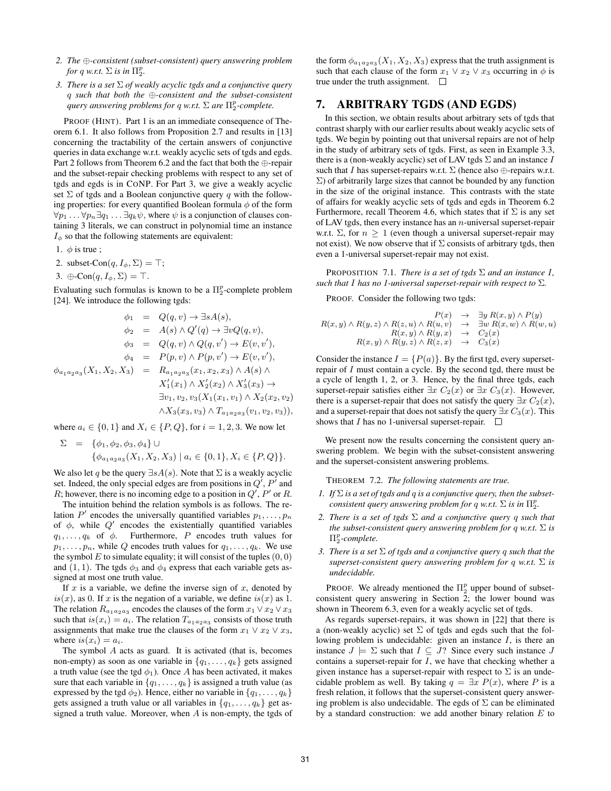- *2. The* ⊕*-consistent (subset-consistent) query answering problem for* q *w.r.t.*  $\Sigma$  *is in*  $\Pi_2^p$ *.*
- *3. There is a set* Σ *of weakly acyclic tgds and a conjunctive query* q *such that both the* ⊕*-consistent and the subset-consistent query answering problems for* q *w.r.t.* Σ *are* Π p 2 *-complete.*

PROOF (HINT). Part 1 is an an immediate consequence of Theorem 6.1. It also follows from Proposition 2.7 and results in [13] concerning the tractability of the certain answers of conjunctive queries in data exchange w.r.t. weakly acyclic sets of tgds and egds. Part 2 follows from Theorem 6.2 and the fact that both the ⊕-repair and the subset-repair checking problems with respect to any set of tgds and egds is in CONP. For Part 3, we give a weakly acyclic set  $\Sigma$  of tgds and a Boolean conjunctive query q with the following properties: for every quantified Boolean formula  $\phi$  of the form  $\forall p_1 \ldots \forall p_n \exists q_1 \ldots \exists q_k \psi$ , where  $\psi$  is a conjunction of clauses containing 3 literals, we can construct in polynomial time an instance  $I_{\phi}$  so that the following statements are equivalent:

1.  $\phi$  is true;

- 2. subset-Con $(q, I_{\phi}, \Sigma) = \top;$
- 3.  $\oplus$ -Con $(q, I_{\phi}, \Sigma) = \top$ .

Evaluating such formulas is known to be a  $\Pi_2^p$ -complete problem [24]. We introduce the following tgds:

$$
\phi_1 = Q(q, v) \to \exists sA(s), \n\phi_2 = A(s) \land Q'(q) \to \exists vQ(q, v), \n\phi_3 = Q(q, v) \land Q(q, v') \to E(v, v'), \n\phi_4 = P(p, v) \land P(p, v') \to E(v, v'), \n\phi_{a_1a_2a_3}(X_1, X_2, X_3) = R_{a_1a_2a_3}(x_1, x_2, x_3) \land A(s) \land \nX'_1(x_1) \land X'_2(x_2) \land X'_3(x_3) \to \n\exists v_1, v_2, v_3(X_1(x_1, v_1) \land X_2(x_2, v_2) \n\land X_3(x_3, v_3) \land T_{a_1a_2a_3}(v_1, v_2, v_3)),
$$

where  $a_i \in \{0, 1\}$  and  $X_i \in \{P, Q\}$ , for  $i = 1, 2, 3$ . We now let

$$
\Sigma = \{\phi_1, \phi_2, \phi_3, \phi_4\} \cup \n\{\phi_{a_1a_2a_3}(X_1, X_2, X_3) | a_i \in \{0, 1\}, X_i \in \{P, Q\} \}.
$$

We also let q be the query  $\exists sA(s)$ . Note that  $\Sigma$  is a weakly acyclic set. Indeed, the only special edges are from positions in  $Q'$ ,  $P'$  and R; however, there is no incoming edge to a position in  $Q'$ ,  $P'$  or R.

The intuition behind the relation symbols is as follows. The relation  $P'$  encodes the universally quantified variables  $p_1, \ldots, p_n$ of  $\phi$ , while  $Q'$  encodes the existentially quantified variables  $q_1, \ldots, q_k$  of  $\phi$ . Furthermore, P encodes truth values for  $p_1, \ldots, p_n$ , while Q encodes truth values for  $q_1, \ldots, q_k$ . We use the symbol  $E$  to simulate equality; it will consist of the tuples  $(0, 0)$ and (1, 1). The tgds  $\phi_3$  and  $\phi_4$  express that each variable gets assigned at most one truth value.

If  $x$  is a variable, we define the inverse sign of  $x$ , denoted by  $is(x)$ , as 0. If x is the negation of a variable, we define  $is(x)$  as 1. The relation  $R_{a_1 a_2 a_3}$  encodes the clauses of the form  $x_1 \vee x_2 \vee x_3$ such that  $is(x_i) = a_i$ . The relation  $T_{a_1 a_2 a_3}$  consists of those truth assignments that make true the clauses of the form  $x_1 \vee x_2 \vee x_3$ , where  $is(x_i) = a_i$ .

The symbol  $A$  acts as guard. It is activated (that is, becomes non-empty) as soon as one variable in  $\{q_1, \ldots, q_k\}$  gets assigned a truth value (see the tgd  $\phi_1$ ). Once A has been activated, it makes sure that each variable in  $\{q_1, \ldots, q_k\}$  is assigned a truth value (as expressed by the tgd  $\phi_2$ ). Hence, either no variable in  $\{q_1, \ldots, q_k\}$ gets assigned a truth value or all variables in  $\{q_1, \ldots, q_k\}$  get assigned a truth value. Moreover, when  $A$  is non-empty, the tgds of

the form  $\phi_{a_1 a_2 a_3}(X_1, X_2, X_3)$  express that the truth assignment is such that each clause of the form  $x_1 \vee x_2 \vee x_3$  occurring in  $\phi$  is true under the truth assignment.  $\Box$ 

## 7. ARBITRARY TGDS (AND EGDS)

In this section, we obtain results about arbitrary sets of tgds that contrast sharply with our earlier results about weakly acyclic sets of tgds. We begin by pointing out that universal repairs are not of help in the study of arbitrary sets of tgds. First, as seen in Example 3.3, there is a (non-weakly acyclic) set of LAV tgds  $\Sigma$  and an instance I such that I has superset-repairs w.r.t.  $\Sigma$  (hence also  $\oplus$ -repairs w.r.t.  $\Sigma$ ) of arbitrarily large sizes that cannot be bounded by any function in the size of the original instance. This contrasts with the state of affairs for weakly acyclic sets of tgds and egds in Theorem 6.2 Furthermore, recall Theorem 4.6, which states that if  $\Sigma$  is any set of LAV tgds, then every instance has an  $n$ -universal superset-repair w.r.t.  $\Sigma$ , for  $n \geq 1$  (even though a universal superset-repair may not exist). We now observe that if  $\Sigma$  consists of arbitrary tgds, then even a 1-universal superset-repair may not exist.

PROPOSITION 7.1. *There is a set of tgds*  $\Sigma$  *and an instance* I, *such that* I has no 1-universal superset-repair with respect to  $\Sigma$ *.* 

PROOF. Consider the following two tgds:

$$
P(x) \rightarrow \exists y R(x, y) \land P(y)
$$
  
\n
$$
R(x, y) \land R(y, z) \land R(z, u) \land R(u, v) \rightarrow \exists w R(x, w) \land R(w, u)
$$
  
\n
$$
R(x, y) \land R(y, x) \rightarrow C_2(x)
$$
  
\n
$$
R(x, y) \land R(y, z) \land R(z, x) \rightarrow C_3(x)
$$

Consider the instance  $I = {P(a)}$ . By the first tgd, every supersetrepair of I must contain a cycle. By the second tgd, there must be a cycle of length 1, 2, or 3. Hence, by the final three tgds, each superset-repair satisfies either  $\exists x C_2(x)$  or  $\exists x C_3(x)$ . However, there is a superset-repair that does not satisfy the query  $\exists x C_2(x)$ , and a superset-repair that does not satisfy the query  $\exists x C_3(x)$ . This shows that I has no 1-universal superset-repair.  $\Box$ 

We present now the results concerning the consistent query answering problem. We begin with the subset-consistent answering and the superset-consistent answering problems.

THEOREM 7.2. *The following statements are true.*

- *1. If* Σ *is a set of tgds and* q *is a conjunctive query, then the subsetconsistent query answering problem for q w.r.t.*  $\Sigma$  *is in*  $\Pi_2^p$ .
- *2. There is a set of tgds* Σ *and a conjunctive query* q *such that the subset-consistent query answering problem for q w.r.t.*  $\Sigma$  *is* Π p 2 *-complete.*
- *3. There is a set* Σ *of tgds and a conjunctive query* q *such that the superset-consistent query answering problem for* q *w.r.t.* Σ *is undecidable.*

PROOF. We already mentioned the  $\Pi_2^p$  upper bound of subsetconsistent query answering in Section 2; the lower bound was shown in Theorem 6.3, even for a weakly acyclic set of tgds.

As regards superset-repairs, it was shown in [22] that there is a (non-weakly acyclic) set  $\Sigma$  of tgds and egds such that the following problem is undecidable: given an instance  $I$ , is there an instance  $J \models \Sigma$  such that  $I \subseteq J$ ? Since every such instance J contains a superset-repair for  $I$ , we have that checking whether a given instance has a superset-repair with respect to  $\Sigma$  is an undecidable problem as well. By taking  $q = \exists x P(x)$ , where P is a fresh relation, it follows that the superset-consistent query answering problem is also undecidable. The egds of  $\Sigma$  can be eliminated by a standard construction: we add another binary relation  $E$  to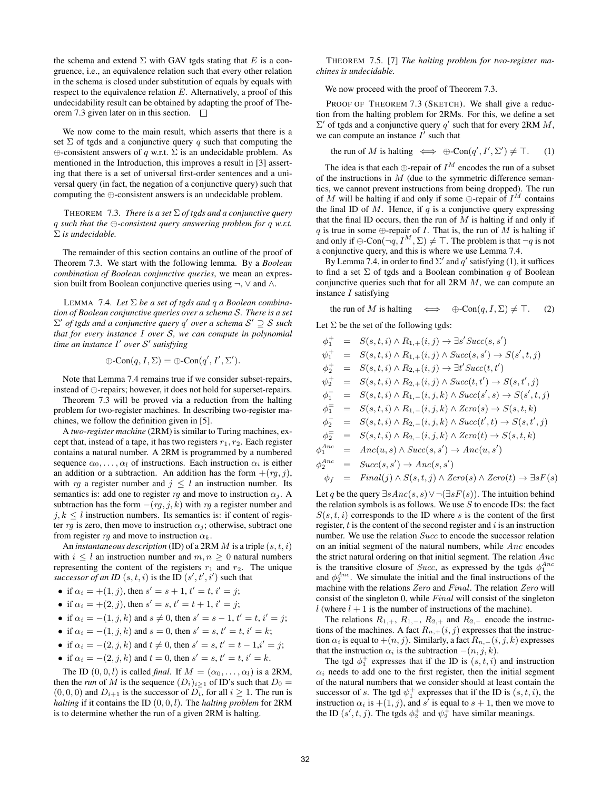the schema and extend  $\Sigma$  with GAV tgds stating that E is a congruence, i.e., an equivalence relation such that every other relation in the schema is closed under substitution of equals by equals with respect to the equivalence relation  $E$ . Alternatively, a proof of this undecidability result can be obtained by adapting the proof of Theorem 7.3 given later on in this section.

We now come to the main result, which asserts that there is a set  $\Sigma$  of tgds and a conjunctive query q such that computing the  $\oplus$ -consistent answers of q w.r.t.  $\Sigma$  is an undecidable problem. As mentioned in the Introduction, this improves a result in [3] asserting that there is a set of universal first-order sentences and a universal query (in fact, the negation of a conjunctive query) such that computing the ⊕-consistent answers is an undecidable problem.

THEOREM 7.3. *There is a set* Σ *of tgds and a conjunctive query* q *such that the* ⊕*-consistent query answering problem for* q *w.r.t.* Σ *is undecidable.*

The remainder of this section contains an outline of the proof of Theorem 7.3. We start with the following lemma. By a *Boolean combination of Boolean conjunctive queries*, we mean an expression built from Boolean conjunctive queries using  $\neg$ ,  $\lor$  and  $\land$ .

LEMMA 7.4. *Let* Σ *be a set of tgds and* q *a Boolean combination of Boolean conjunctive queries over a schema* S*. There is a set* Σ 0 *of tgds and a conjunctive query* q 0 *over a schema* S <sup>0</sup> ⊇ S *such that for every instance* I *over* S*, we can compute in polynomial time an instance* I' over S' satisfying

$$
\oplus\text{-}{\rm Con}(q,I,\Sigma)=\oplus\text{-}{\rm Con}(q',I',\Sigma').
$$

Note that Lemma 7.4 remains true if we consider subset-repairs, instead of ⊕-repairs; however, it does not hold for superset-repairs.

Theorem 7.3 will be proved via a reduction from the halting problem for two-register machines. In describing two-register machines, we follow the definition given in [5].

A *two-register machine* (2RM) is similar to Turing machines, except that, instead of a tape, it has two registers  $r_1, r_2$ . Each register contains a natural number. A 2RM is programmed by a numbered sequence  $\alpha_0, \ldots, \alpha_l$  of instructions. Each instruction  $\alpha_i$  is either an addition or a subtraction. An addition has the form  $+(rg, j)$ , with rg a register number and  $j \leq l$  an instruction number. Its semantics is: add one to register rg and move to instruction  $\alpha_j$ . A subtraction has the form  $-(rg, j, k)$  with rg a register number and  $j, k \leq l$  instruction numbers. Its semantics is: if content of register rg is zero, then move to instruction  $\alpha_i$ ; otherwise, subtract one from register  $rg$  and move to instruction  $\alpha_k$ .

An *instantaneous description* (ID) of a 2RM  $M$  is a triple  $(s, t, i)$ with  $i \leq l$  an instruction number and  $m, n \geq 0$  natural numbers representing the content of the registers  $r_1$  and  $r_2$ . The unique successor of an *ID*  $(s, t, i)$  is the ID  $(s', t', i')$  such that

- if  $\alpha_i = +(1, j)$ , then  $s' = s + 1$ ,  $t' = t$ ,  $i' = j$ ;
- if  $\alpha_i = +(2, j)$ , then  $s' = s$ ,  $t' = t + 1$ ,  $i' = j$ ;
- if  $\alpha_i = -(1, j, k)$  and  $s \neq 0$ , then  $s' = s 1$ ,  $t' = t$ ,  $i' = j$ ;
- if  $\alpha_i = -(1, j, k)$  and  $s = 0$ , then  $s' = s, t' = t, i' = k$ ;
- if  $\alpha_i = -(2, j, k)$  and  $t \neq 0$ , then  $s' = s$ ,  $t' = t 1, i' = j$ ;
- if  $\alpha_i = -(2, j, k)$  and  $t = 0$ , then  $s' = s, t' = t, i' = k$ .

The ID  $(0, 0, l)$  is called *final*. If  $M = (\alpha_0, \dots, \alpha_l)$  is a 2RM, then the *run* of M is the sequence  $(D_i)_{i>1}$  of ID's such that  $D_0 =$  $(0, 0, 0)$  and  $D_{i+1}$  is the successor of  $D_i$ , for all  $i \geq 1$ . The run is *halting* if it contains the ID (0, 0, l). The *halting problem* for 2RM is to determine whether the run of a given 2RM is halting.

THEOREM 7.5. [7] *The halting problem for two-register machines is undecidable.*

We now proceed with the proof of Theorem 7.3.

PROOF OF THEOREM 7.3 (SKETCH). We shall give a reduction from the halting problem for 2RMs. For this, we define a set  $\Sigma'$  of tgds and a conjunctive query q' such that for every 2RM M, we can compute an instance  $I^{\prime}$  such that

the run of M is halting 
$$
\iff
$$
  $\oplus$ -Con $(q', I', \Sigma') \neq \top$ . (1)

The idea is that each  $\bigoplus$ -repair of  $I^M$  encodes the run of a subset of the instructions in  $M$  (due to the symmetric difference semantics, we cannot prevent instructions from being dropped). The run of M will be halting if and only if some  $\oplus$ -repair of  $I^M$  contains the final ID of  $M$ . Hence, if  $q$  is a conjunctive query expressing that the final ID occurs, then the run of  $M$  is halting if and only if q is true in some  $\oplus$ -repair of I. That is, the run of M is halting if and only if  $\oplus$ -Con $(\neg q, I^M, \Sigma) \neq \top$ . The problem is that  $\neg q$  is not a conjunctive query, and this is where we use Lemma 7.4.

By Lemma 7.4, in order to find  $\Sigma'$  and  $q'$  satisfying (1), it suffices to find a set  $\Sigma$  of tgds and a Boolean combination q of Boolean conjunctive queries such that for all 2RM M, we can compute an instance  $I$  satisfying

the run of M is halting  $\iff \oplus\text{-Con}(q, I, \Sigma) \neq \top.$  (2)

Let  $\Sigma$  be the set of the following tgds:

$$
\phi_1^+ = S(s, t, i) \wedge R_{1,+}(i, j) \rightarrow \exists s'Succ(s, s')
$$
  
\n
$$
\psi_1^+ = S(s, t, i) \wedge R_{1,+}(i, j) \wedge Succ(s, s') \rightarrow S(s', t, j)
$$
  
\n
$$
\phi_2^+ = S(s, t, i) \wedge R_{2,+}(i, j) \rightarrow \exists t'Succ(t, t')
$$
  
\n
$$
\psi_2^+ = S(s, t, i) \wedge R_{2,+}(i, j) \wedge Succ(t, t') \rightarrow S(s, t', j)
$$
  
\n
$$
\phi_1^- = S(s, t, i) \wedge R_{1,-}(i, j, k) \wedge Succ(s', s) \rightarrow S(s', t, j)
$$
  
\n
$$
\phi_1^- = S(s, t, i) \wedge R_{1,-}(i, j, k) \wedge Zero(s) \rightarrow S(s, t, k)
$$
  
\n
$$
\phi_2^- = S(s, t, i) \wedge R_{2,-}(i, j, k) \wedge Succ(t', t) \rightarrow S(s, t', j)
$$
  
\n
$$
\phi_2^+ = S(s, t, i) \wedge R_{2,-}(i, j, k) \wedge Zero(t) \rightarrow S(s, t, k)
$$
  
\n
$$
\phi_1^{\text{Anc}} = Anc(u, s) \wedge Succ(s, s') \rightarrow Anc(u, s')
$$
  
\n
$$
\phi_2^{\text{Anc}} = Succ(s, s') \rightarrow Anc(s, s')
$$
  
\n
$$
\phi_f = Final(j) \wedge S(s, t, j) \wedge Zero(s) \wedge Zero(t) \rightarrow \exists sF(s)
$$

Let q be the query  $\exists s\n \exists s\n \, \forall \neg (\exists s F(s))$ . The intuition behind the relation symbols is as follows. We use  $S$  to encode IDs: the fact  $S(s, t, i)$  corresponds to the ID where s is the content of the first register,  $t$  is the content of the second register and  $i$  is an instruction number. We use the relation *Succ* to encode the successor relation on an initial segment of the natural numbers, while  $Anc$  encodes the strict natural ordering on that initial segment. The relation  $Anc$ is the transitive closure of *Succ*, as expressed by the tgds  $\phi_1^{Anc}$ and  $\phi_2^{Anc}$ . We simulate the initial and the final instructions of the machine with the relations Zero and Final. The relation Zero will consist of the singleton 0, while Final will consist of the singleton l (where  $l + 1$  is the number of instructions of the machine).

The relations  $R_{1,+}, R_{1,-}, R_{2,+}$  and  $R_{2,-}$  encode the instructions of the machines. A fact  $R_{n,+}(i, j)$  expresses that the instruction  $\alpha_i$  is equal to  $+(n, j)$ . Similarly, a fact  $R_{n,-}(i, j, k)$  expresses that the instruction  $\alpha_i$  is the subtraction  $-(n, j, k)$ .

The tgd  $\phi_1^+$  expresses that if the ID is  $(s, t, i)$  and instruction  $\alpha_i$  needs to add one to the first register, then the initial segment of the natural numbers that we consider should at least contain the successor of s. The tgd  $\psi_1^+$  expresses that if the ID is  $(s, t, i)$ , the instruction  $\alpha_i$  is  $+(1, j)$ , and  $s'$  is equal to  $s + 1$ , then we move to the ID  $(s', t, j)$ . The tgds  $\phi_2^+$  and  $\psi_2^+$  have similar meanings.